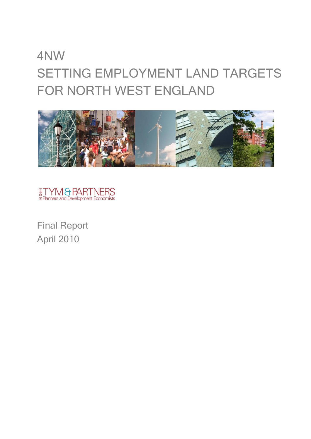# 4NW SETTING EMPLOYMENT LAND TARGETS FOR NORTH WEST ENGLAND





Final Report April 2010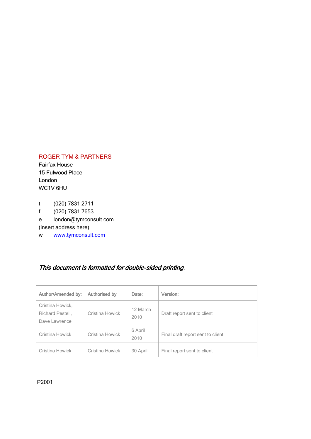#### ROGER TYM & PARTNERS

Fairfax House 15 Fulwood Place London WC1V 6HU

t (020) 7831 2711 f (020) 7831 7653 e london@tymconsult.com (insert address here) w [www.tymconsult.com](http://www.tymconsult.com/)

### This document is formatted for double-sided printing.

| <b>Author/Amended by:</b>                             | <b>Authorised by</b> | Date:            | Version:                          |
|-------------------------------------------------------|----------------------|------------------|-----------------------------------|
| Cristina Howick,<br>Richard Pestell,<br>Dave Lawrence | Cristina Howick      | 12 March<br>2010 | Draft report sent to client       |
| Cristina Howick                                       | Cristina Howick      | 6 April<br>2010  | Final draft report sent to client |
| Cristina Howick                                       | Cristina Howick      | 30 April         | Final report sent to client       |

P2001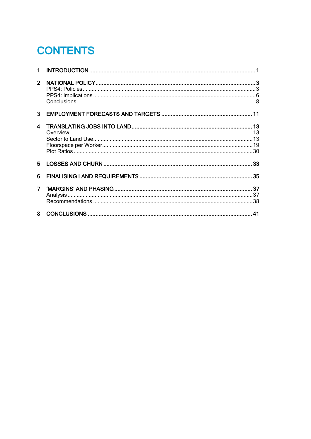## **CONTENTS**

| $\overline{2}$   |  |
|------------------|--|
| $\mathbf{3}$     |  |
| $\blacktriangle$ |  |
| 5.               |  |
| 6                |  |
| $\overline{7}$   |  |
| 8                |  |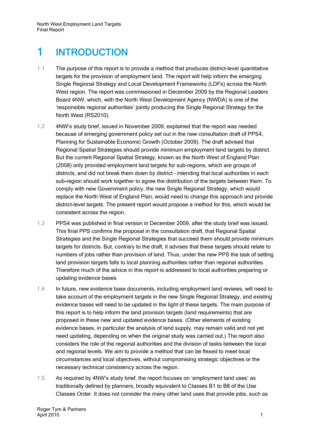## <span id="page-4-0"></span>1 INTRODUCTION

- 1.1 The purpose of this report is to provide a method that produces district-level quantitative targets for the provision of employment land. The report will help inform the emerging Single Regional Strategy and Local Development Frameworks (LDFs) across the North West region. The report was commissioned in December 2009 by the Regional Leaders Board 4NW, which, with the North West Development Agency (NWDA) is one of the 'responsible regional authorities' jointly producing the Single Regional Strategy for the North West (RS2010).
- 1.2 4NW's study brief, issued in November 2009, explained that the report was needed because of emerging government policy set out in the new consultation draft of PPS4, Planning for Sustainable Economic Growth (October 2009). The draft advised that Regional Spatial Strategies should provide minimum employment land targets by district. But the current Regional Spatial Strategy, known as the North West of England Plan (2008) only provided employment land targets for sub-regions, which are groups of districts, and did not break them down by district – intending that local authorities in each sub-region should work together to agree the distribution of the targets between them. To comply with new Government policy, the new Single Regional Strategy, which would replace the North West of England Plan, would need to change this approach and provide district-level targets. The present report would propose a method for this, which would be consistent across the region.
- 1.3 PPS4 was published in final version in December 2009, after the study brief was issued. This final PPS confirms the proposal in the consultation draft, that Regional Spatial Strategies and the Single Regional Strategies that succeed them should provide minimum targets for districts. But, contrary to the draft, it advises that these targets should relate to numbers of jobs rather than provision of land. Thus, under the new PPS the task of setting land provision targets falls to local planning authorities rather than regional authorities. Therefore much of the advice in this report is addressed to local authorities preparing or updating evidence bases
- 1.4 In future, new evidence base documents, including employment land reviews, will need to take account of the employment targets in the new Single Regional Strategy, and existing evidence bases will need to be updated in the light of these targets. The main purpose of this report is to help inform the land provision targets (land requirements) that are proposed in these new and updated evidence bases. (Other elements of existing evidence bases, in particular the analysis of land supply, may remain valid and not yet need updating, depending on when the original study was carried out.) The report also considers the role of the regional authorities and the division of tasks between the local and regional levels. We aim to provide a method that can be flexed to meet local circumstances and local objectives, without compromising strategic objectives or the necessary technical consistency across the region.
- 1.5 As required by 4NW's study brief, the report focuses on 'employment land uses' as traditionally defined by planners, broadly equivalent to Classes B1 to B8 of the Use Classes Order. It does not consider the many other land uses that provide jobs, such as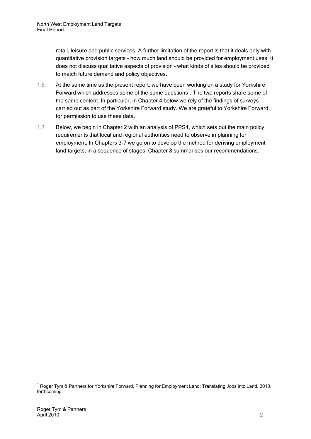retail, leisure and public services. A further limitation of the report is that it deals only with quantitative provision targets - how much land should be provided for employment uses. It does not discuss qualitative aspects of provision – what kinds of sites should be provided to match future demand and policy objectives.

- 1.6 At the same time as the present report, we have been working on a study for Yorkshire Forward which addresses some of the same questions $<sup>1</sup>$ . The two reports share some of</sup> the same content. In particular, in Chapter 4 below we rely of the findings of surveys carried out as part of the Yorkshire Forward study. We are grateful to Yorkshire Forward for permission to use these data.
- 1.7 Below, we begin in Chapter 2 with an analysis of PPS4, which sets out the main policy requirements that local and regional authorities need to observe in planning for employment. In Chapters 3-7 we go on to develop the method for deriving employment land targets, in a sequence of stages. Chapter 8 summarises our recommendations.

<sup>&</sup>lt;sup>1</sup> Roger Tym & Partners for Yorkshire Forward, Planning for Employment Land: Translating Jobs into Land, 2010, forthcoming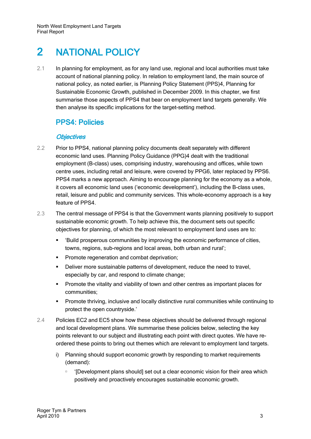## <span id="page-6-0"></span>2 NATIONAL POLICY

2.1 In planning for employment, as for any land use, regional and local authorities must take account of national planning policy. In relation to employment land, the main source of national policy, as noted earlier, is Planning Policy Statement (PPS)4, Planning for Sustainable Economic Growth, published in December 2009. In this chapter, we first summarise those aspects of PPS4 that bear on employment land targets generally. We then analyse its specific implications for the target-setting method.

### <span id="page-6-1"></span>PPS4: Policies

#### **Objectives**

- 2.2 Prior to PPS4, national planning policy documents dealt separately with different economic land uses. Planning Policy Guidance (PPG)4 dealt with the traditional employment (B-class) uses, comprising industry, warehousing and offices, while town centre uses, including retail and leisure, were covered by PPG6, later replaced by PPS6. PPS4 marks a new approach. Aiming to encourage planning for the economy as a whole, it covers all economic land uses ('economic development'), including the B-class uses, retail, leisure and public and community services. This whole-economy approach is a key feature of PPS4.
- 2.3 The central message of PPS4 is that the Government wants planning positively to support sustainable economic growth. To help achieve this, the document sets out specific objectives for planning, of which the most relevant to employment land uses are to:
	- 'Build prosperous communities by improving the economic performance of cities, towns, regions, sub-regions and local areas, both urban and rural';
	- **Promote regeneration and combat deprivation;**
	- Deliver more sustainable patterns of development, reduce the need to travel, especially by car, and respond to climate change;
	- **Promote the vitality and viability of town and other centres as important places for** communities;
	- **Promote thriving, inclusive and locally distinctive rural communities while continuing to** protect the open countryside.'
- 2.4 Policies EC2 and EC5 show how these objectives should be delivered through regional and local development plans. We summarise these policies below, selecting the key points relevant to our subject and illustrating each point with direct quotes. We have reordered these points to bring out themes which are relevant to employment land targets.
	- i) Planning should support economic growth by responding to market requirements (demand):
		- '[Development plans should] set out a clear economic vision for their area which positively and proactively encourages sustainable economic growth.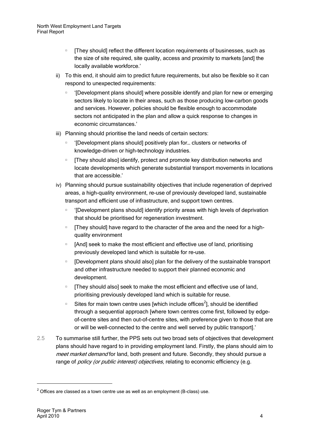- **EXECT** [They should] reflect the different location requirements of businesses, such as the size of site required, site quality, access and proximity to markets [and] the locally available workforce.'
- ii) To this end, it should aim to predict future requirements, but also be flexible so it can respond to unexpected requirements:
	- '[Development plans should] where possible identify and plan for new or emerging sectors likely to locate in their areas, such as those producing low-carbon goods and services. However, policies should be flexible enough to accommodate sectors not anticipated in the plan and allow a quick response to changes in economic circumstances.'
- iii) Planning should prioritise the land needs of certain sectors:
	- □ '[Development plans should] positively plan for... clusters or networks of knowledge-driven or high-technology industries.
	- **EXED They should also] identify, protect and promote key distribution networks and** locate developments which generate substantial transport movements in locations that are accessible.'
- iv) Planning should pursue sustainability objectives that include regeneration of deprived areas, a high-quality environment, re-use of previously developed land, sustainable transport and efficient use of infrastructure, and support town centres.
	- □ '[Development plans should] identify priority areas with high levels of deprivation that should be prioritised for regeneration investment.
	- **[They should] have regard to the character of the area and the need for a high**quality environment
	- [And] seek to make the most efficient and effective use of land, prioritising previously developed land which is suitable for re-use.
	- **EXED** [Development plans should also] plan for the delivery of the sustainable transport and other infrastructure needed to support their planned economic and development.
	- **[They should also] seek to make the most efficient and effective use of land,** prioritising previously developed land which is suitable for reuse.
	- Sites for main town centre uses [which include offices<sup>2</sup>], should be identified through a sequential approach [where town centres come first, followed by edgeof-centre sites and then out-of-centre sites, with preference given to those that are or will be well-connected to the centre and well served by public transport].'
- <span id="page-7-0"></span>2.5 To summarise still further, the PPS sets out two broad sets of objectives that development plans should have regard to in providing employment land. Firstly, the plans should aim to meet market demand for land, both present and future. Secondly, they should pursue a range of *policy (or public interest) objectives*, relating to economic efficiency (e.g.

 $2$  Offices are classed as a town centre use as well as an employment (B-class) use.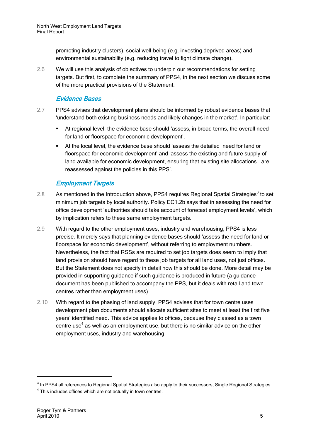promoting industry clusters), social well-being (e.g. investing deprived areas) and environmental sustainability (e.g. reducing travel to fight climate change).

2.6 We will use this analysis of objectives to underpin our recommendations for setting targets. But first, to complete the summary of PPS4, in the next section we discuss some of the more practical provisions of the Statement.

#### Evidence Bases

- 2.7 PPS4 advises that development plans should be informed by robust evidence bases that 'understand both existing business needs and likely changes in the market'. In particular:
	- At regional level, the evidence base should 'assess, in broad terms, the overall need for land or floorspace for economic development'.
	- At the local level, the evidence base should 'assess the detailed need for land or floorspace for economic development' and 'assess the existing and future supply of land available for economic development, ensuring that existing site allocations… are reassessed against the policies in this PPS'.

#### Employment Targets

- 2.8 As mentioned in the Introduction above, PPS4 requires Regional Spatial Strategies<sup>3</sup> to set minimum job targets by local authority. Policy EC1.2b says that in assessing the need for office development 'authorities should take account of forecast employment levels', which by implication refers to these same employment targets.
- 2.9 With regard to the other employment uses, industry and warehousing, PPS4 is less precise. It merely says that planning evidence bases should 'assess the need for land or floorspace for economic development', without referring to employment numbers. Nevertheless, the fact that RSSs are required to set job targets does seem to imply that land provision should have regard to these job targets for all land uses, not just offices. But the Statement does not specify in detail how this should be done. More detail may be provided in supporting guidance if such guidance is produced in future (a guidance document has been published to accompany the PPS, but it deals with retail and town centres rather than employment uses).
- 2.10 With regard to the phasing of land supply, PPS4 advises that for town centre uses development plan documents should allocate sufficient sites to meet at least the first five years' identified need. This advice applies to offices, because they classed as a town centre use<sup>4</sup> as well as an employment use, but there is no similar advice on the other employment uses, industry and warehousing.

 $^3$  In PPS4 all references to Regional Spatial Strategies also apply to their successors, Single Regional Strategies.

 $4$  This includes offices which are not actually in town centres.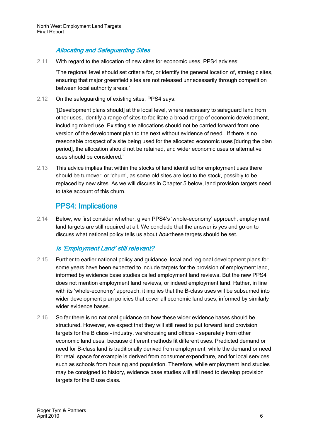#### Allocating and Safeguarding Sites

2.11 With regard to the allocation of new sites for economic uses, PPS4 advises:

'The regional level should set criteria for, or identify the general location of, strategic sites, ensuring that major greenfield sites are not released unnecessarily through competition between local authority areas.'

2.12 On the safeguarding of existing sites, PPS4 says:

'[Development plans should] at the local level, where necessary to safeguard land from other uses, identify a range of sites to facilitate a broad range of economic development, including mixed use. Existing site allocations should not be carried forward from one version of the development plan to the next without evidence of need… If there is no reasonable prospect of a site being used for the allocated economic uses [during the plan period], the allocation should not be retained, and wider economic uses or alternative uses should be considered.'

2.13 This advice implies that within the stocks of land identified for employment uses there should be turnover, or 'churn', as some old sites are lost to the stock, possibly to be replaced by new sites. As we will discuss in Chapter 5 below, land provision targets need to take account of this churn.

### PPS4: Implications

<span id="page-9-0"></span>2.14 Below, we first consider whether, given PPS4's 'whole-economy' approach, employment land targets are still required at all. We conclude that the answer is yes and go on to discuss what national policy tells us about *how* these targets should be set.

#### Is 'Employment Land' still relevant?

- 2.15 Further to earlier national policy and guidance, local and regional development plans for some years have been expected to include targets for the provision of employment land, informed by evidence base studies called employment land reviews. But the new PPS4 does not mention employment land reviews, or indeed employment land. Rather, in line with its 'whole-economy' approach, it implies that the B-class uses will be subsumed into wider development plan policies that cover all economic land uses, informed by similarly wider evidence bases.
- 2.16 So far there is no national guidance on how these wider evidence bases should be structured. However, we expect that they will still need to put forward land provision targets for the B class – industry, warehousing and offices – separately from other economic land uses, because different methods fit different uses. Predicted demand or need for B-class land is traditionally derived from employment, while the demand or need for retail space for example is derived from consumer expenditure, and for local services such as schools from housing and population. Therefore, while employment land studies may be consigned to history, evidence base studies will still need to develop provision targets for the B use class.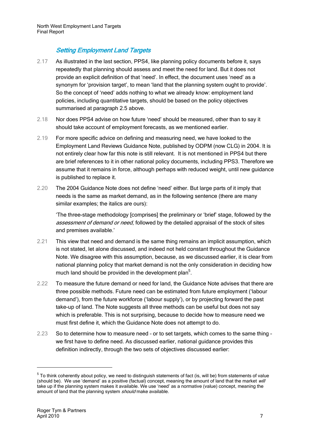#### Setting Employment Land Targets

- 2.17 As illustrated in the last section, PPS4, like planning policy documents before it, says repeatedly that planning should assess and meet the need for land. But it does not provide an explicit definition of that 'need'. In effect, the document uses 'need' as a synonym for 'provision target', to mean 'land that the planning system ought to provide'. So the concept of 'need' adds nothing to what we already know: employment land policies, including quantitative targets, should be based on the policy objectives summarised at paragraph [2.5](#page-7-0) above.
- 2.18 Nor does PPS4 advise on how future 'need' should be measured, other than to say it should take account of employment forecasts, as we mentioned earlier.
- 2.19 For more specific advice on defining and measuring need, we have looked to the Employment Land Reviews Guidance Note, published by ODPM (now CLG) in 2004. It is not entirely clear how far this note is still relevant. It is not mentioned in PPS4 but there are brief references to it in other national policy documents, including PPS3. Therefore we assume that it remains in force, although perhaps with reduced weight, until new guidance is published to replace it.
- 2.20 The 2004 Guidance Note does not define 'need' either. But large parts of it imply that needs is the same as market demand, as in the following sentence (there are many similar examples; the italics are ours):

'The three-stage methodology [comprises] the preliminary or 'brief' stage, followed by the assessment of demand or need, followed by the detailed appraisal of the stock of sites and premises available.'

- 2.21 This view that need and demand is the same thing remains an implicit assumption, which is not stated, let alone discussed, and indeed not held constant throughout the Guidance Note. We disagree with this assumption, because, as we discussed earlier, it is clear from national planning policy that market demand is not the only consideration in deciding how much land should be provided in the development plan $5$ .
- 2.22 To measure the future demand or need for land, the Guidance Note advises that there are three possible methods. Future need can be estimated from future employment ('labour demand'), from the future workforce ('labour supply'), or by projecting forward the past take-up of land. The Note suggests all three methods can be useful but does not say which is preferable. This is not surprising, because to decide how to measure need we must first define it, which the Guidance Note does not attempt to do.
- 2.23 So to determine how to measure need or to set targets, which comes to the same thing we first have to define need. As discussed earlier, national guidance provides this definition indirectly, through the two sets of objectives discussed earlier:

 $5$  To think coherently about policy, we need to distinguish statements of fact (is, will be) from statements of value (should be). We use 'demand' as a positive (factual) concept, meaning the amount of land that the market will take up if the planning system makes it available. We use 'need' as a normative (value) concept, meaning the amount of land that the planning system should make available.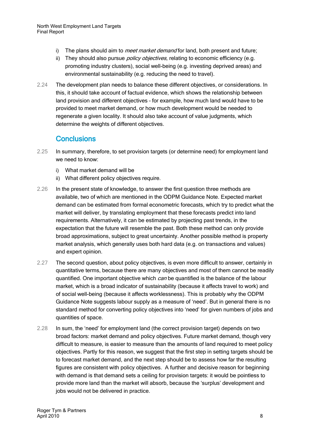- i) The plans should aim to *meet market demand* for land, both present and future;
- ii) They should also pursue *policy objectives*, relating to economic efficiency (e.g. promoting industry clusters), social well-being (e.g. investing deprived areas) and environmental sustainability (e.g. reducing the need to travel).
- 2.24 The development plan needs to balance these different objectives, or considerations. In this, it should take account of factual evidence, which shows the relationship between land provision and different objectives – for example, how much land would have to be provided to meet market demand, or how much development would be needed to regenerate a given locality. It should also take account of value judgments, which determine the weights of different objectives.

### **Conclusions**

- <span id="page-11-0"></span>2.25 In summary, therefore, to set provision targets (or determine need) for employment land we need to know:
	- i) What market demand will be
	- ii) What different policy objectives require.
- 2.26 In the present state of knowledge, to answer the first question three methods are available, two of which are mentioned in the ODPM Guidance Note. Expected market demand can be estimated from formal econometric forecasts, which try to predict what the market will deliver, by translating employment that these forecasts predict into land requirements. Alternatively, it can be estimated by projecting past trends, in the expectation that the future will resemble the past. Both these method can only provide broad approximations, subject to great uncertainty. Another possible method is property market analysis, which generally uses both hard data (e.g. on transactions and values) and expert opinion.
- 2.27 The second question, about policy objectives, is even more difficult to answer, certainly in quantitative terms, because there are many objectives and most of them cannot be readily quantified. One important objective which *can* be quantified is the balance of the labour market, which is a broad indicator of sustainability (because it affects travel to work) and of social well-being (because it affects worklessness). This is probably why the ODPM Guidance Note suggests labour supply as a measure of 'need'. But in general there is no standard method for converting policy objectives into 'need' for given numbers of jobs and quantities of space.
- 2.28 In sum, the 'need' for employment land (the correct provision target) depends on two broad factors: market demand and policy objectives. Future market demand, though very difficult to measure, is easier to measure than the amounts of land required to meet policy objectives. Partly for this reason, we suggest that the first step in setting targets should be to forecast market demand, and the next step should be to assess how far the resulting figures are consistent with policy objectives. A further and decisive reason for beginning with demand is that demand sets a ceiling for provision targets: it would be pointless to provide more land than the market will absorb, because the 'surplus' development and jobs would not be delivered in practice.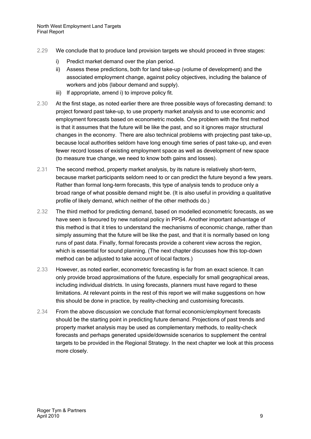- 2.29 We conclude that to produce land provision targets we should proceed in three stages:
	- i) Predict market demand over the plan period.
	- ii) Assess these predictions, both for land take-up (volume of development) and the associated employment change, against policy objectives, including the balance of workers and jobs (labour demand and supply).
	- iii) If appropriate, amend i) to improve policy fit.
- 2.30 At the first stage, as noted earlier there are three possible ways of forecasting demand: to project forward past take-up, to use property market analysis and to use economic and employment forecasts based on econometric models. One problem with the first method is that it assumes that the future will be like the past, and so it ignores major structural changes in the economy. There are also technical problems with projecting past take-up, because local authorities seldom have long enough time series of past take-up, and even fewer record losses of existing employment space as well as development of new space (to measure true change, we need to know both gains and losses).
- 2.31 The second method, property market analysis, by its nature is relatively short-term, because market participants seldom need to or can predict the future beyond a few years. Rather than formal long-term forecasts, this type of analysis tends to produce only a broad range of what possible demand might be. (It is also useful in providing a qualitative profile of likely demand, which neither of the other methods do.)
- 2.32 The third method for predicting demand, based on modelled econometric forecasts, as we have seen is favoured by new national policy in PPS4. Another important advantage of this method is that it tries to understand the mechanisms of economic change, rather than simply assuming that the future will be like the past, and that it is normally based on long runs of past data. Finally, formal forecasts provide a coherent view across the region, which is essential for sound planning. (The next chapter discusses how this top-down method can be adjusted to take account of local factors.)
- 2.33 However, as noted earlier, econometric forecasting is far from an exact science. It can only provide broad approximations of the future, especially for small geographical areas, including individual districts. In using forecasts, planners must have regard to these limitations. At relevant points in the rest of this report we will make suggestions on how this should be done in practice, by reality-checking and customising forecasts.
- 2.34 From the above discussion we conclude that formal economic/employment forecasts should be the starting point in predicting future demand. Projections of past trends and property market analysis may be used as complementary methods, to reality-check forecasts and perhaps generated upside/downside scenarios to supplement the central targets to be provided in the Regional Strategy. In the next chapter we look at this process more closely.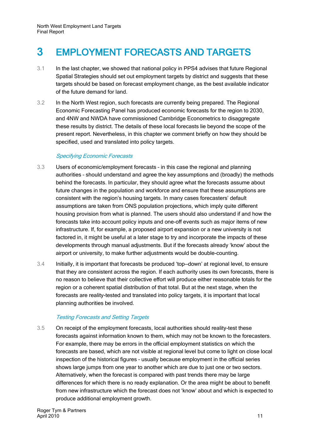## <span id="page-14-0"></span>3 EMPLOYMENT FORECASTS AND TARGETS

- 3.1 In the last chapter, we showed that national policy in PPS4 advises that future Regional Spatial Strategies should set out employment targets by district and suggests that these targets should be based on forecast employment change, as the best available indicator of the future demand for land.
- 3.2 In the North West region, such forecasts are currently being prepared. The Regional Economic Forecasting Panel has produced economic forecasts for the region to 2030, and 4NW and NWDA have commissioned Cambridge Econometrics to disaggregate these results by district. The details of these local forecasts lie beyond the scope of the present report. Nevertheless, in this chapter we comment briefly on how they should be specified, used and translated into policy targets.

#### Specifying Economic Forecasts

- 3.3 Users of economic/employment forecasts in this case the regional and planning authorities – should understand and agree the key assumptions and (broadly) the methods behind the forecasts. In particular, they should agree what the forecasts assume about future changes in the population and workforce and ensure that these assumptions are consistent with the region's housing targets. In many cases forecasters' default assumptions are taken from ONS population projections, which imply quite different housing provision from what is planned. The users should also understand if and how the forecasts take into account policy inputs and one-off events such as major items of new infrastructure. If, for example, a proposed airport expansion or a new university is not factored in, it might be useful at a later stage to try and incorporate the impacts of these developments through manual adjustments. But if the forecasts already 'know' about the airport or university, to make further adjustments would be double-counting.
- 3.4 Initially, it is important that forecasts be produced 'top—down' at regional level, to ensure that they are consistent across the region. If each authority uses its own forecasts, there is no reason to believe that their collective effort will produce either reasonable totals for the region or a coherent spatial distribution of that total. But at the next stage, when the forecasts are reality-tested and translated into policy targets, it is important that local planning authorities be involved.

#### Testing Forecasts and Setting Targets

3.5 On receipt of the employment forecasts, local authorities should reality-test these forecasts against information known to them, which may not be known to the forecasters. For example, there may be errors in the official employment statistics on which the forecasts are based, which are not visible at regional level but come to light on close local inspection of the historical figures – usually because employment in the official series shows large jumps from one year to another which are due to just one or two sectors. Alternatively, when the forecast is compared with past trends there may be large differences for which there is no ready explanation. Or the area might be about to benefit from new infrastructure which the forecast does not 'know' about and which is expected to produce additional employment growth.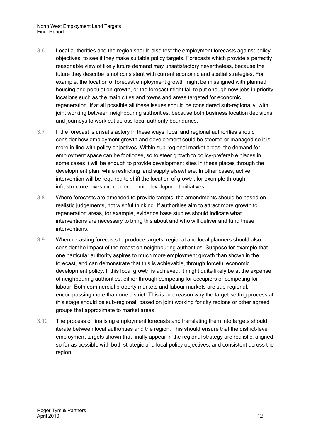North West Employment Land Targets Final Report

- 3.6 Local authorities and the region should also test the employment forecasts against policy objectives, to see if they make suitable policy targets. Forecasts which provide a perfectly reasonable view of likely future demand may unsatisfactory nevertheless, because the future they describe is not consistent with current economic and spatial strategies. For example, the location of forecast employment growth might be misaligned with planned housing and population growth, or the forecast might fail to put enough new jobs in priority locations such as the main cities and towns and areas targeted for economic regeneration. If at all possible all these issues should be considered sub-regionally, with joint working between neighbouring authorities, because both business location decisions and journeys to work cut across local authority boundaries.
- 3.7 If the forecast is unsatisfactory in these ways, local and regional authorities should consider how employment growth and development could be steered or managed so it is more in line with policy objectives. Within sub-regional market areas, the demand for employment space can be footloose, so to steer growth to policy-preferable places in some cases it will be enough to provide development sites in these places through the development plan, while restricting land supply elsewhere. In other cases, active intervention will be required to shift the location of growth, for example through infrastructure investment or economic development initiatives.
- 3.8 Where forecasts are amended to provide targets, the amendments should be based on realistic judgements, not wishful thinking. If authorities aim to attract more growth to regeneration areas, for example, evidence base studies should indicate what interventions are necessary to bring this about and who will deliver and fund these interventions.
- 3.9 When recasting forecasts to produce targets, regional and local planners should also consider the impact of the recast on neighbouring authorities. Suppose for example that one particular authority aspires to much more employment growth than shown in the forecast, and can demonstrate that this is achievable, through forceful economic development policy. If this local growth is achieved, it might quite likely be at the expense of neighbouring authorities, either through competing for occupiers or competing for labour. Both commercial property markets and labour markets are sub-regional, encompassing more than one district. This is one reason why the target-setting process at this stage should be sub-regional, based on joint working for city regions or other agreed groups that approximate to market areas.
- 3.10 The process of finalising employment forecasts and translating them into targets should iterate between local authorities and the region. This should ensure that the district-level employment targets shown that finally appear in the regional strategy are realistic, aligned so far as possible with both strategic and local policy objectives, and consistent across the region.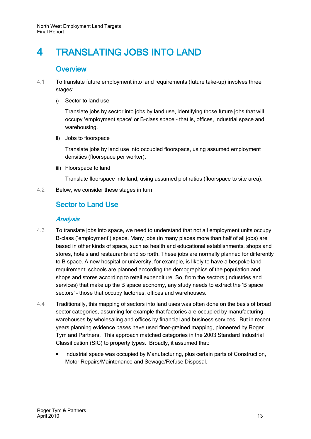## <span id="page-16-0"></span>4 TRANSLATING JOBS INTO LAND

### **Overview**

- <span id="page-16-1"></span>4.1 To translate future employment into land requirements (future take-up) involves three stages:
	- i) Sector to land use

Translate jobs by sector into jobs by land use, identifying those future jobs that will occupy 'employment space' or B-class space - that is, offices, industrial space and warehousing.

ii) Jobs to floorspace

Translate jobs by land use into occupied floorspace, using assumed employment densities (floorspace per worker).

iii) Floorspace to land

Translate floorspace into land, using assumed plot ratios (floorspace to site area).

<span id="page-16-2"></span>4.2 Below, we consider these stages in turn.

### Sector to Land Use

#### Analysis

- 4.3 To translate jobs into space, we need to understand that not all employment units occupy B-class ('employment') space. Many jobs (in many places more than half of all jobs) are based in other kinds of space, such as health and educational establishments, shops and stores, hotels and restaurants and so forth. These jobs are normally planned for differently to B space. A new hospital or university, for example, is likely to have a bespoke land requirement; schools are planned according the demographics of the population and shops and stores according to retail expenditure. So, from the sectors (industries and services) that make up the B space economy, any study needs to extract the 'B space sectors' – those that occupy factories, offices and warehouses.
- 4.4 Traditionally, this mapping of sectors into land uses was often done on the basis of broad sector categories, assuming for example that factories are occupied by manufacturing, warehouses by wholesaling and offices by financial and business services. But in recent years planning evidence bases have used finer-grained mapping, pioneered by Roger Tym and Partners. This approach matched categories in the 2003 Standard Industrial Classification (SIC) to property types. Broadly, it assumed that:
	- Industrial space was occupied by Manufacturing, plus certain parts of Construction, Motor Repairs/Maintenance and Sewage/Refuse Disposal.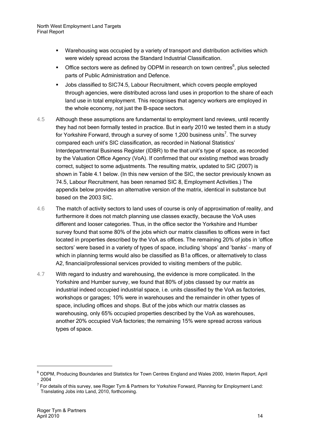- Warehousing was occupied by a variety of transport and distribution activities which were widely spread across the Standard Industrial Classification.
- $\blacksquare$  Office sectors were as defined by ODPM in research on town centres<sup>6</sup>, plus selected parts of Public Administration and Defence.
- Jobs classified to SIC74.5, Labour Recruitment, which covers people employed through agencies, were distributed across land uses in proportion to the share of each land use in total employment. This recognises that agency workers are employed in the whole economy, not just the B-space sectors.
- 4.5 Although these assumptions are fundamental to employment land reviews, until recently they had not been formally tested in practice. But in early 2010 we tested them in a study for Yorkshire Forward, through a survey of some 1,200 business units<sup>7</sup>. The survey compared each unit's SIC classification, as recorded in National Statistics' Interdepartmental Business Register (IDBR) to the that unit's type of space, as recorded by the Valuation Office Agency (VoA). If confirmed that our existing method was broadly correct, subject to some adjustments. The resulting matrix, updated to SIC (2007) is shown in [Table 4.1](#page-18-0) below. (In this new version of the SIC, the sector previously known as 74.5, Labour Recruitment, has been renamed SIC 8, Employment Activities.) The appendix below provides an alternative version of the matrix, identical in substance but based on the 2003 SIC.
- 4.6 The match of activity sectors to land uses of course is only of approximation of reality, and furthermore it does not match planning use classes exactly, because the VoA uses different and looser categories. Thus, in the office sector the Yorkshire and Humber survey found that some 80% of the jobs which our matrix classifies to offices were in fact located in properties described by the VoA as offices. The remaining 20% of jobs in 'office sectors' were based in a variety of types of space, including 'shops' and 'banks' – many of which in planning terms would also be classified as B1a offices, or alternatively to class A2, financial/professional services provided to visiting members of the public.
- 4.7 With regard to industry and warehousing, the evidence is more complicated. In the Yorkshire and Humber survey, we found that 80% of jobs classed by our matrix as industrial indeed occupied industrial space, i.e. units classified by the VoA as factories, workshops or garages; 10% were in warehouses and the remainder in other types of space, including offices and shops. But of the jobs which our matrix classes as warehousing, only 65% occupied properties described by the VoA as warehouses, another 20% occupied VoA factories; the remaining 15% were spread across various types of space.

<sup>6</sup> ODPM, Producing Boundaries and Statistics for Town Centres England and Wales 2000, Interim Report, April 2004

<sup>&</sup>lt;sup>7</sup> For details of this survey, see Roger Tym & Partners for Yorkshire Forward, Planning for Employment Land: Translating Jobs into Land, 2010, forthcoming.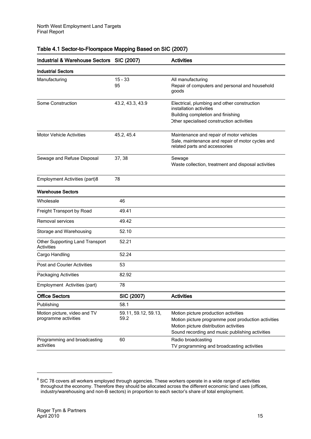| Industrial & Warehouse Sectors SIC (2007)            |                              | <b>Activities</b>                                                                                                                                                                        |  |
|------------------------------------------------------|------------------------------|------------------------------------------------------------------------------------------------------------------------------------------------------------------------------------------|--|
| <b>Industrial Sectors</b>                            |                              |                                                                                                                                                                                          |  |
| Manufacturing                                        | $15 - 33$<br>95              | All manufacturing<br>Repair of computers and personal and household<br>goods                                                                                                             |  |
| Some Construction                                    | 43.2, 43.3, 43.9             | Electrical, plumbing and other construction<br>installation activities<br>Building completion and finishing<br>Other specialised construction activities                                 |  |
| <b>Motor Vehicle Activities</b>                      | 45.2, 45.4                   | Maintenance and repair of motor vehicles<br>Sale, maintenance and repair of motor cycles and<br>related parts and accessories                                                            |  |
| Sewage and Refuse Disposal                           | 37, 38                       | Sewage<br>Waste collection, treatment and disposal activities                                                                                                                            |  |
| <b>Employment Activities (part)8</b>                 | 78                           |                                                                                                                                                                                          |  |
| <b>Warehouse Sectors</b>                             |                              |                                                                                                                                                                                          |  |
| Wholesale                                            | 46                           |                                                                                                                                                                                          |  |
| Freight Transport by Road                            | 49.41                        |                                                                                                                                                                                          |  |
| Removal services                                     | 49.42                        |                                                                                                                                                                                          |  |
| Storage and Warehousing                              | 52.10                        |                                                                                                                                                                                          |  |
| Other Supporting Land Transport<br><b>Activities</b> | 52.21                        |                                                                                                                                                                                          |  |
| Cargo Handling                                       | 52.24                        |                                                                                                                                                                                          |  |
| <b>Post and Courier Activities</b>                   | 53                           |                                                                                                                                                                                          |  |
| Packaging Activities                                 | 82.92                        |                                                                                                                                                                                          |  |
| Employment Activities (part)                         | 78                           |                                                                                                                                                                                          |  |
| <b>Office Sectors</b>                                | SIC (2007)                   | <b>Activities</b>                                                                                                                                                                        |  |
| Publishing                                           | 58.1                         |                                                                                                                                                                                          |  |
| Motion picture, video and TV<br>programme activities | 59.11, 59.12, 59.13,<br>59.2 | Motion picture production activities<br>Motion picture programme post production activities<br>Motion picture distribution activities<br>Sound recording and music publishing activities |  |
| Programming and broadcasting<br>activities           | 60                           | Radio broadcasting<br>TV programming and broadcasting activities                                                                                                                         |  |

#### <span id="page-18-0"></span>Table 4.1 Sector-to-Floorspace Mapping Based on SIC (2007)

 $^8$  SIC 78 covers all workers employed through agencies. These workers operate in a wide range of activities throughout the economy. Therefore they should be allocated across the different economic land uses (offices, industry/warehousing and non-B sectors) in proportion to each sector's share of total employment.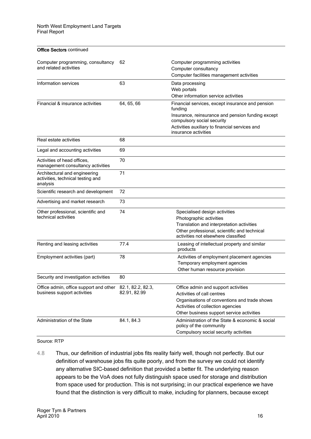| <b>Office Sectors continued</b>                                                         |              |                                                                                                                                                                                                                          |
|-----------------------------------------------------------------------------------------|--------------|--------------------------------------------------------------------------------------------------------------------------------------------------------------------------------------------------------------------------|
| Computer programming, consultancy<br>and related activities                             | 62           | Computer programming activities<br>Computer consultancy<br>Computer facilities management activities                                                                                                                     |
| Information services                                                                    | 63           | Data processing<br>Web portals<br>Other information service activities                                                                                                                                                   |
| Financial & insurance activities                                                        | 64, 65, 66   | Financial services, except insurance and pension<br>funding<br>Insurance, reinsurance and pension funding except<br>compulsory social security<br>Activities auxiliary to financial services and<br>insurance activities |
| Real estate activities                                                                  | 68           |                                                                                                                                                                                                                          |
| Legal and accounting activities                                                         | 69           |                                                                                                                                                                                                                          |
| Activities of head offices,<br>management consultancy activities                        | 70           |                                                                                                                                                                                                                          |
| Architectural and engineering<br>activities, technical testing and<br>analysis          | 71           |                                                                                                                                                                                                                          |
| Scientific research and development                                                     | 72           |                                                                                                                                                                                                                          |
| Advertising and market research                                                         | 73           |                                                                                                                                                                                                                          |
| Other professional, scientific and<br>technical activities                              | 74           | Specialised design activities<br>Photographic activities<br>Translation and interpretation activities<br>Other professional, scientific and technical<br>activities not elsewhere classified                             |
| Renting and leasing activities                                                          | 77.4         | Leasing of intellectual property and similar<br>products                                                                                                                                                                 |
| Employment activities (part)                                                            | 78           | Activities of employment placement agencies<br>Temporary employment agencies<br>Other human resource provision                                                                                                           |
| Security and investigation activities                                                   | 80           |                                                                                                                                                                                                                          |
| Office admin, office support and other 82.1, 82.2, 82.3,<br>business support activities | 82.91, 82.99 | Office admin and support activities<br>Activities of call centres<br>Organisations of conventions and trade shows<br>Activities of collection agencies<br>Other business support service activities                      |
| Administration of the State                                                             | 84.1, 84.3   | Administration of the State & economic & social<br>policy of the community<br>Compulsory social security activities                                                                                                      |

#### Source: RTP

4.8 Thus, our definition of industrial jobs fits reality fairly well, though not perfectly. But our definition of warehouse jobs fits quite poorly, and from the survey we could not identify any alternative SIC-based definition that provided a better fit. The underlying reason appears to be the VoA does not fully distinguish space used for storage and distribution from space used for production. This is not surprising; in our practical experience we have found that the distinction is very difficult to make, including for planners, because except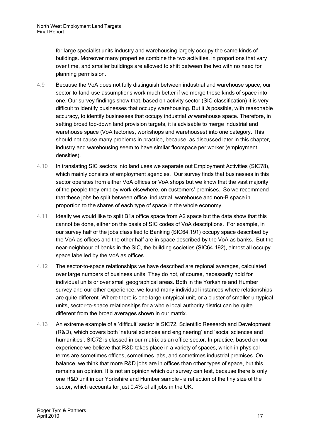for large specialist units industry and warehousing largely occupy the same kinds of buildings. Moreover many properties combine the two activities, in proportions that vary over time, and smaller buildings are allowed to shift between the two with no need for planning permission.

- 4.9 Because the VoA does not fully distinguish between industrial and warehouse space, our sector-to-land-use assumptions work much better if we merge these kinds of space into one. Our survey findings show that, based on activity sector (SIC classification) it is very difficult to identify businesses that occupy warehousing. But it is possible, with reasonable accuracy, to identify businesses that occupy industrial or warehouse space. Therefore, in setting broad top-down land provision targets, it is advisable to merge industrial and warehouse space (VoA factories, workshops and warehouses) into one category. This should not cause many problems in practice, because, as discussed later in this chapter, industry and warehousing seem to have similar floorspace per worker (employment densities).
- 4.10 In translating SIC sectors into land uses we separate out Employment Activities (SIC78), which mainly consists of employment agencies. Our survey finds that businesses in this sector operates from either VoA offices or VoA shops but we know that the vast majority of the people they employ work elsewhere, on customers' premises. So we recommend that these jobs be split between office, industrial, warehouse and non-B space in proportion to the shares of each type of space in the whole economy.
- 4.11 Ideally we would like to split B1a office space from A2 space but the data show that this cannot be done, either on the basis of SIC codes of VoA descriptions. For example, in our survey half of the jobs classified to Banking (SIC64.191) occupy space described by the VoA as offices and the other half are in space described by the VoA as banks. But the near-neighbour of banks in the SIC, the building societies (SIC64.192), almost all occupy space labelled by the VoA as offices.
- 4.12 The sector-to-space relationships we have described are regional averages, calculated over large numbers of business units. They do not, of course, necessarily hold for individual units or over small geographical areas. Both in the Yorkshire and Humber survey and our other experience, we found many individual instances where relationships are quite different. Where there is one large untypical unit, or a cluster of smaller untypical units, sector-to-space relationships for a whole local authority district can be quite different from the broad averages shown in our matrix.
- 4.13 An extreme example of a 'difficult' sector is SIC72, Scientific Research and Development (R&D), which covers both 'natural sciences and engineering' and 'social sciences and humanities'. SIC72 is classed in our matrix as an office sector. In practice, based on our experience we believe that R&D takes place in a variety of spaces, which in physical terms are sometimes offices, sometimes labs, and sometimes industrial premises. On balance, we think that more R&D jobs are in offices than other types of space, but this remains an opinion. It is not an opinion which our survey can test, because there is only one R&D unit in our Yorkshire and Humber sample – a reflection of the tiny size of the sector, which accounts for just 0.4% of all jobs in the UK.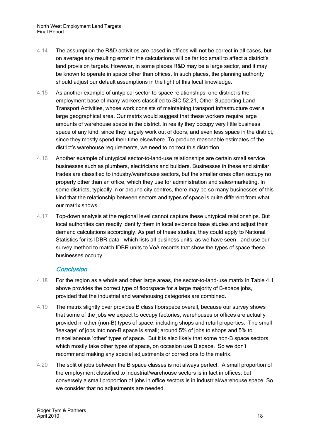- 4.14 The assumption the R&D activities are based in offices will not be correct in all cases, but on average any resulting error in the calculations will be far too small to affect a district's land provision targets. However, in some places R&D may be a large sector, and it may be known to operate in space other than offices. In such places, the planning authority should adjust our default assumptions in the light of this local knowledge.
- 4.15 As another example of untypical sector-to-space relationships, one district is the employment base of many workers classified to SIC 52.21, Other Supporting Land Transport Activities, whose work consists of maintaining transport infrastructure over a large geographical area. Our matrix would suggest that these workers require large amounts of warehouse space in the district. In reality they occupy very little business space of any kind, since they largely work out of doors, and even less space in the district, since they mostly spend their time elsewhere. To produce reasonable estimates of the district's warehouse requirements, we need to correct this distortion.
- 4.16 Another example of untypical sector-to-land-use relationships are certain small service businesses such as plumbers, electricians and builders. Businesses in these and similar trades are classified to industry/warehouse sectors, but the smaller ones often occupy no property other than an office, which they use for administration and sales/marketing. In some districts, typically in or around city centres, there may be so many businesses of this kind that the relationship between sectors and types of space is quite different from what our matrix shows.
- 4.17 Top-down analysis at the regional level cannot capture these untypical relationships. But local authorities can readily identify them in local evidence base studies and adjust their demand calculations accordingly. As part of these studies, they could apply to National Statistics for its IDBR data – which lists all business units, as we have seen – and use our survey method to match IDBR units to VoA records that show the types of space these businesses occupy.

#### **Conclusion**

- 4.18 For the region as a whole and other large areas, the sector-to-land-use matrix in [Table 4.1](#page-18-0) above provides the correct type of floorspace for a large majority of B-space jobs, provided that the industrial and warehousing categories are combined.
- 4.19 The matrix slightly over provides B class floorspace overall, because our survey shows that some of the jobs we expect to occupy factories, warehouses or offices are actually provided in other (non-B) types of space; including shops and retail properties. The small 'leakage' of jobs into non-B space is small; around 5% of jobs to shops and 5% to miscellaneous 'other' types of space. But it is also likely that some non-B space sectors, which mostly take other types of space, on occasion use B space. So we don't recommend making any special adjustments or corrections to the matrix.
- 4.20 The split of jobs between the B space classes is not always perfect. A small proportion of the employment classified to industrial/warehouse sectors is in fact in offices; but conversely a small proportion of jobs in office sectors is in industrial/warehouse space. So we consider that no adjustments are needed.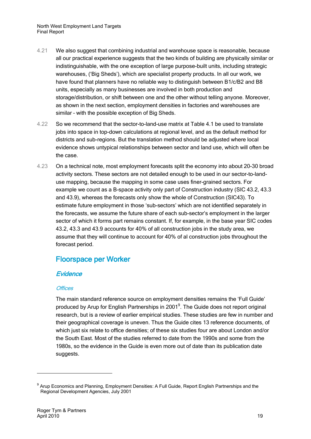North West Employment Land Targets Final Report

- 4.21 We also suggest that combining industrial and warehouse space is reasonable, because all our practical experience suggests that the two kinds of building are physically similar or indistinguishable, with the one exception of large purpose-built units, including strategic warehouses, ('Big Sheds'), which are specialist property products. In all our work, we have found that planners have no reliable way to distinguish between B1/c/B2 and B8 units, especially as many businesses are involved in both production and storage/distribution, or shift between one and the other without telling anyone. Moreover, as shown in the next section, employment densities in factories and warehouses are similar – with the possible exception of Big Sheds.
- 4.22 So we recommend that the sector-to-land-use matrix at [Table 4.1](#page-18-0) be used to translate jobs into space in top-down calculations at regional level, and as the default method for districts and sub-regions. But the translation method should be adjusted where local evidence shows untypical relationships between sector and land use, which will often be the case.
- 4.23 On a technical note, most employment forecasts split the economy into about 20-30 broad activity sectors. These sectors are not detailed enough to be used in our sector-to-landuse mapping, because the mapping in some case uses finer-grained sectors. For example we count as a B-space activity only part of Construction industry (SIC 43.2, 43.3 and 43.9), whereas the forecasts only show the whole of Construction (SIC43). To estimate future employment in those 'sub-sectors' which are not identified separately in the forecasts, we assume the future share of each sub-sector's employment in the larger sector of which it forms part remains constant. If, for example, in the base year SIC codes 43.2, 43.3 and 43.9 accounts for 40% of all construction jobs in the study area, we assume that they will continue to account for 40% of al construction jobs throughout the forecast period.

### <span id="page-22-0"></span>Floorspace per Worker

#### **Evidence**

#### **Offices**

The main standard reference source on employment densities remains the 'Full Guide' produced by Arup for English Partnerships in 2001<sup>9</sup>. The Guide does not report original research, but is a review of earlier empirical studies. These studies are few in number and their geographical coverage is uneven. Thus the Guide cites 13 reference documents, of which just six relate to office densities; of these six studies four are about London and/or the South East. Most of the studies referred to date from the 1990s and some from the 1980s, so the evidence in the Guide is even more out of date than its publication date suggests.

<sup>&</sup>lt;sup>9</sup> Arup Economics and Planning, Employment Densities: A Full Guide, Report English Partnerships and the Regional Development Agencies, July 2001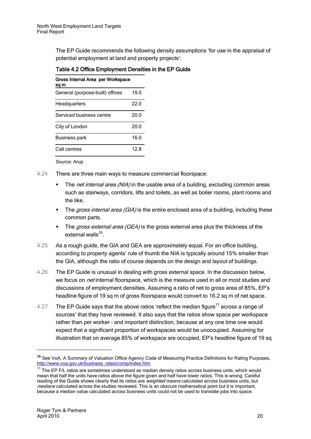The EP Guide recommends the following density assumptions 'for use in the appraisal of potential employment at land and property projects':

<span id="page-23-0"></span>

| Table 4.2 Office Employment Densities in the EP Guide |
|-------------------------------------------------------|
|-------------------------------------------------------|

| Gross Internal Area per Workspace<br>sq m |      |
|-------------------------------------------|------|
| General (purpose-built) offices           | 19.0 |
| Headquarters                              | 22.0 |
| Serviced business centre                  | 20.0 |
| City of London                            | 20.0 |
| <b>Business park</b>                      | 16.0 |
| Call centres                              | 12.8 |

Source: Arup

- 4.24 There are three main ways to measure commercial floorspace:
	- The *net internal area (NIA)* in the usable area of a building, excluding common areas such as stairways, corridors, lifts and toilets, as well as boiler rooms, plant rooms and the like.
	- The *gross internal area (GIA)* is the entire enclosed area of a building, including these common parts.
	- The *gross external area (GEA)* is the gross external area plus the thickness of the external walls<sup>10</sup>.
- 4.25 As a rough guide, the GIA and GEA are approximately equal. For an office building, according to property agents' rule of thumb the NIA is typically around 15% smaller than the GIA, although the ratio of course depends on the design and layout of buildings.
- 4.26 The EP Guide is unusual in dealing with gross external space. In the discussion below, we focus on *net* internal floorspace, which is the measure used in all or most studies and discussions of employment densities. Assuming a ratio of net to gross area of 85%, EP's headline figure of 19 sq m of gross floorspace would convert to 16.2 sq m of net space.
- 4.27 The EP Guide says that the above ratios 'reflect the median figure<sup>11</sup> across a range of sources' that they have reviewed. It also says that the ratios show space per workspace rather than per worker – and important distinction, because at any one time one would expect that a significant proportion of workspaces would be unoccupied. Assuming for illustration that on average 85% of workspace are occupied, EP's headline figure of 19 sq

<sup>&</sup>lt;sup>10</sup> See VoA, A Summary of Valuation Office Agency Code of Measuring Practice Definitions for Rating Purposes, [http://www.voa.gov.uk/business\\_rates/comp/index.htm](http://www.voa.gov.uk/business_rates/comp/index.htm)

 $11$  The EP F/L ratios are sometimes understood as median density ratios across business units, which would mean that half the units have ratios above the figure given and half have lower ratios. This is wrong. Careful reading of the Guide shows clearly that its ratios are weighted means calculated across business units, but medians calculated across the studies reviewed. This is an obscure mathematical point but it is important, because a median value calculated across business units could not be used to translate jobs into space.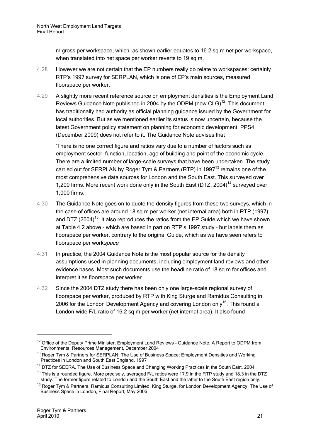m gross per workspace, which as shown earlier equates to 16.2 sq m net per workspace, when translated into net space per worker reverts to 19 sq m.

- 4.28 However we are not certain that the EP numbers really do relate to workspaces: certainly RTP's 1997 survey for SERPLAN, which is one of EP's main sources, measured floorspace per worker.
- 4.29 A slightly more recent reference source on employment densities is the Employment Land Reviews Guidance Note published in 2004 by the ODPM (now  $CLG$ )<sup>12</sup>. This document has traditionally had authority as official planning guidance issued by the Government for local authorities. But as we mentioned earlier its status is now uncertain, because the latest Government policy statement on planning for economic development, PPS4 (December 2009) does not refer to it. The Guidance Note advises that

'There is no one correct figure and ratios vary due to a number of factors such as employment sector, function, location, age of building and point of the economic cycle. There are a limited number of large-scale surveys that have been undertaken. The study carried out for SERPLAN by Roger Tym & Partners (RTP) in 1997<sup>13</sup> remains one of the most comprehensive data sources for London and the South East. This surveyed over 1,200 firms. More recent work done only in the South East (DTZ, 2004)<sup>14</sup> surveyed over 1,000 firms.'

- 4.30 The Guidance Note goes on to quote the density figures from these two surveys, which in the case of offices are around 18 sq m per worker (net internal area) both in RTP (1997) and DTZ (2004)<sup>15</sup>. It also reproduces the ratios from the EP Guide which we have shown at [Table 4.2](#page-23-0) above - which are based in part on RTP's 1997 study – but labels them as floorspace per worker, contrary to the original Guide, which as we have seen refers to floorspace per workspace.
- 4.31 In practice, the 2004 Guidance Note is the most popular source for the density assumptions used in planning documents, including employment land reviews and other evidence bases. Most such documents use the headline ratio of 18 sq m for offices and interpret it as floorspace per worker.
- 4.32 Since the 2004 DTZ study there has been only one large-scale regional survey of floorspace per worker, produced by RTP with King Sturge and Ramidus Consulting in 2006 for the London Development Agency and covering London only<sup>16</sup>. This found a London-wide F/L ratio of 16.2 sq m per worker (net internal area). It also found

 $15$  This is a rounded figure. More precisely, averaged F/L ratios were 17.9 in the RTP study and 18.3 in the DTZ study. The former figure related to London and the South East and the latter to the South East region only.

<sup>&</sup>lt;sup>12</sup> Office of the Deputy Prime Minister, Employment Land Reviews - Guidance Note, A Report to ODPM from Environmental Resources Management, December 2004

<sup>&</sup>lt;sup>13</sup> Roger Tym & Partners for SERPLAN, The Use of Business Space: Employment Densities and Working Practices in London and South East England, 1997

<sup>&</sup>lt;sup>14</sup> DTZ for SEERA, The Use of Business Space and Changing Working Practices in the South East, 2004

<sup>&</sup>lt;sup>16</sup> Roger Tym & Partners, Ramidus Consulting Limited, King Sturge, for London Development Agency, The Use of Business Space in London, Final Report, May 2006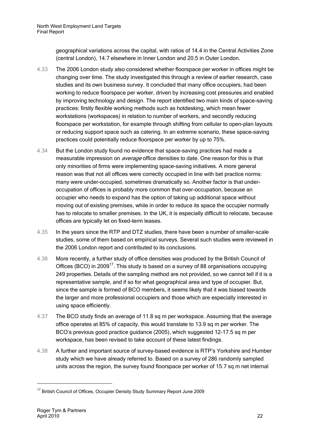geographical variations across the capital, with ratios of 14.4 in the Central Activities Zone (central London), 14.7 elsewhere in Inner London and 20.5 in Outer London.

- 4.33 The 2006 London study also considered whether floorspace per worker in offices might be changing over time. The study investigated this through a review of earlier research, case studies and its own business survey. It concluded that many office occupiers, had been working to reduce floorspace per worker, driven by increasing cost pressures and enabled by improving technology and design. The report identified two main kinds of space-saving practices: firstly flexible working methods such as hotdesking, which mean fewer workstations (workspaces) in relation to number of workers, and secondly reducing floorspace per workstation, for example through shifting from cellular to open-plan layouts or reducing support space such as catering. In an extreme scenario, these space-saving practices could potentially reduce floorspace per worker by up to 75%.
- 4.34 But the London study found no evidence that space-saving practices had made a measurable impression on *average* office densities to date. One reason for this is that only minorities of firms were implementing space-saving initiatives. A more general reason was that not all offices were correctly occupied in line with bet practice norms: many were under-occupied, sometimes dramatically so. Another factor is that underoccupation of offices is probably more common that over-occupation, because an occupier who needs to expand has the option of taking up additional space without moving out of existing premises, while in order to reduce its space the occupier normally has to relocate to smaller premises. In the UK, it is especially difficult to relocate, because offices are typically let on fixed-term leases.
- 4.35 In the years since the RTP and DTZ studies, there have been a number of smaller-scale studies, some of them based on empirical surveys. Several such studies were reviewed in the 2006 London report and contributed to its conclusions.
- 4.36 More recently, a further study of office densities was produced by the British Council of Offices (BCO) in 2009<sup>17</sup>. This study is based on a survey of 88 organisations occupying 249 properties. Details of the sampling method are not provided, so we cannot tell if it is a representative sample, and if so for what geographical area and type of occupier. But, since the sample is formed of BCO members, it seems likely that it was biased towards the larger and more professional occupiers and those which are especially interested in using space efficiently.
- 4.37 The BCO study finds an average of 11.8 sq m per workspace. Assuming that the average office operates at 85% of capacity, this would translate to 13.9 sq m per worker. The BCO's previous good practice guidance (2005), which suggested 12-17.5 sq m per workspace, has been revised to take account of these latest findings.
- 4.38 A further and important source of survey-based evidence is RTP's Yorkshire and Humber study which we have already referred to. Based on a survey of 286 randomly sampled units across the region, the survey found floorspace per worker of 15.7 sq m net internal

<sup>&</sup>lt;sup>17</sup> British Council of Offices, Occupier Density Study Summary Report June 2009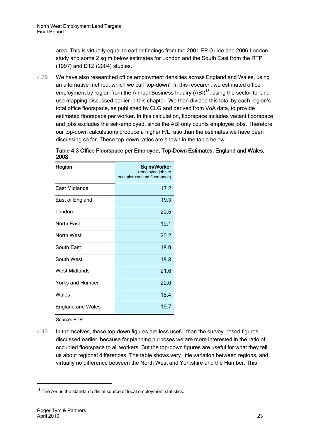area. This is virtually equal to earlier findings from the 2001 EP Guide and 2006 London study and some 2 sq m below estimates for London and the South East from the RTP (1997) and DTZ (2004) studies.

4.39 We have also researched office employment densities across England and Wales, using an alternative method, which we call 'top-down'. In this research, we estimated office employment by region from the Annual Business Inquiry  $(ABI)^{18}$ , using the sector-to-landuse mapping discussed earlier in this chapter. We then divided this total by each region's total office floorspace, as published by CLG and derived from VoA data, to provide estimated floorspace per worker. In this calculation, floorspace includes vacant floorspace and jobs excludes the self-employed, since the ABI only counts employee jobs. Therefore our top-down calculations produce a higher F/L ratio than the estimates we have been discussing so far. These top-down ratios are shown in the table below.

Table 4.3 Office Floorspace per Employee, Top-Down Estimates, England and Wales, 2008

| Region                   | Sq m/Worker                 |
|--------------------------|-----------------------------|
|                          | (employee jobs to           |
|                          | occupied+vacant floorspace) |
| East Midlands            | 17.2                        |
| East of England          | 19.3                        |
| London                   | 20.5                        |
| North East               | 19.1                        |
| North West               | 20.2                        |
| South East               | 18.9                        |
| South West               | 18.8                        |
| West Midlands            | 21.6                        |
| Yorks and Humber         | 20.0                        |
| Wales                    | 18.4                        |
| <b>England and Wales</b> | 19.7                        |

Source: RTP

4.40 In themselves, these top-down figures are less useful than the survey-based figures discussed earlier, because for planning purposes we are more interested in the ratio of occupied floorspace to all workers. But the top-down figures are useful for what they tell us about regional differences. The table shows very little variation between regions, and virtually no difference between the North West and Yorkshire and the Humber. This

 $18$  The ABI is the standard official source of local employment statistics.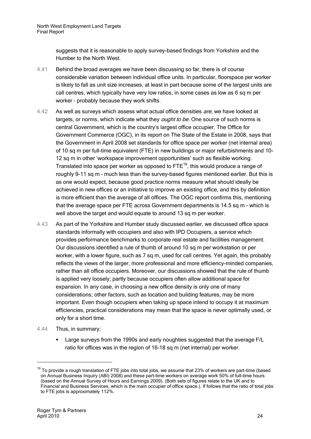suggests that it is reasonable to apply survey-based findings from Yorkshire and the Humber to the North West.

- 4.41 Behind the broad averages we have been discussing so far, there is of course considerable variation between individual office units. In particular, floorspace per worker is likely to fall as unit size increases, at least in part because some of the largest units are call centres, which typically have very low ratios, in some cases as low as 6 sq m per worker – probably because they work shifts.
- 4.42 As well as surveys which assess what actual office densities are, we have looked at targets, or norms, which indicate what they *ought to be*. One source of such norms is central Government, which is the country's largest office occupier. The Office for Government Commerce (OGC), in its report on The State of the Estate in 2008, says that the Government in April 2008 set standards for office space per worker (net internal area) of 10 sq m per full-time equivalent (FTE) in new buildings or major refurbishments and 10- 12 sq m in other 'workspace improvement opportunities' such as flexible working. Translated into space per worker as opposed to  $\mathsf{FTE}^{19}$ , this would produce a range of roughly 9-11 sq m – much less than the survey-based figures mentioned earlier. But this is as one would expect, because good practice norms measure what should ideally be achieved in new offices or an initiative to improve an existing office, and this by definition is more efficient than the average of all offices. The OGC report confirms this, mentioning that the average space per FTE across Government departments is 14.5 sq m - which is well above the target and would equate to around 13 sq m per worker.
- 4.43 As part of the Yorkshire and Humber study discussed earlier, we discussed office space standards informally with occupiers and also with IPD Occupiers, a service which provides performance benchmarks to corporate real estate and facilities management. Our discussions identified a rule of thumb of around 10 sq m per workstation or per worker, with a lower figure, such as 7 sq m, used for call centres. Yet again, this probably reflects the views of the larger, more professional and more efficiency-minded companies, rather than all office occupiers. Moreover, our discussions showed that the rule of thumb is applied very loosely; partly because occupiers often allow additional space for expansion. In any case, in choosing a new office density is only one of many considerations; other factors, such as location and building features, may be more important. Even though occupiers when taking up space intend to occupy it at maximum efficiencies, practical considerations may mean that the space is never optimally used, or only for a short time.
- 4.44 Thus, in summary:
	- Large surveys from the 1990s and early noughties suggested that the average F/L ratio for offices was in the region of 16-18 sq m (net internal) per worker.

l

 $19$  To provide a rough translation of FTE jobs into total jobs, we assume that 23% of workers are part-time (based on Annual Business Inquiry (ABI) 2008) and these part-time workers on average work 50% of full-time hours (based on the Annual Survey of Hours and Earnings 2009). (Both sets of figures relate to the UK and to Financial and Business Services, which is the main occupier of office space.). If follows that the ratio of total jobs to FTE jobs is approximately 112%.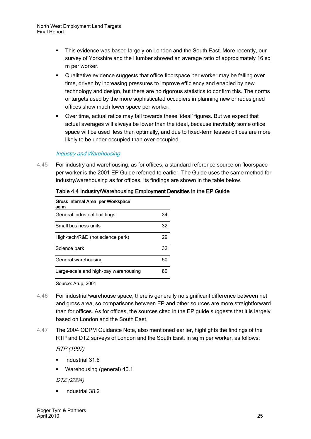#### North West Employment Land Targets Final Report

- This evidence was based largely on London and the South East. More recently, our survey of Yorkshire and the Humber showed an average ratio of approximately 16 sq m per worker.
- Qualitative evidence suggests that office floorspace per worker may be falling over time, driven by increasing pressures to improve efficiency and enabled by new technology and design, but there are no rigorous statistics to confirm this. The norms or targets used by the more sophisticated occupiers in planning new or redesigned offices show much lower space per worker.
- Over time, actual ratios may fall towards these 'ideal' figures. But we expect that actual averages will always be lower than the ideal, because inevitably some office space will be used less than optimally, and due to fixed-term leases offices are more likely to be under-occupied than over-occupied.

#### Industry and Warehousing

4.45 For industry and warehousing, as for offices, a standard reference source on floorspace per worker is the 2001 EP Guide referred to earlier. The Guide uses the same method for industry/warehousing as for offices. Its findings are shown in the table below.

| Gross Internal Area per Workspace<br>sq m |    |
|-------------------------------------------|----|
| General industrial buildings              | 34 |
| Small business units                      | 32 |
| High-tech/R&D (not science park)          | 29 |
| Science park                              | 32 |
| General warehousing                       | 50 |
| Large-scale and high-bay warehousing      | яr |

#### Table 4.4 Industry/Warehousing Employment Densities in the EP Guide

Source: Arup, 2001

- 4.46 For industrial/warehouse space, there is generally no significant difference between net and gross area, so comparisons between EP and other sources are more straightforward than for offices. As for offices, the sources cited in the EP guide suggests that it is largely based on London and the South East.
- 4.47 The 2004 ODPM Guidance Note, also mentioned earlier, highlights the findings of the RTP and DTZ surveys of London and the South East, in sq m per worker, as follows:

RTP (1997)

- **IDED** Industrial 31.8
- Warehousing (general) 40.1

DTZ (2004)

Industrial 38.2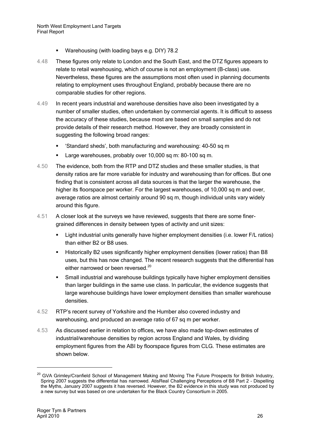- Warehousing (with loading bays e.g. DIY) 78.2
- 4.48 These figures only relate to London and the South East, and the DTZ figures appears to relate to retail warehousing, which of course is not an employment (B-class) use. Nevertheless, these figures are the assumptions most often used in planning documents relating to employment uses throughout England, probably because there are no comparable studies for other regions.
- 4.49 In recent years industrial and warehouse densities have also been investigated by a number of smaller studies, often undertaken by commercial agents. It is difficult to assess the accuracy of these studies, because most are based on small samples and do not provide details of their research method. However, they are broadly consistent in suggesting the following broad ranges:
	- 'Standard sheds', both manufacturing and warehousing: 40-50 sq m
	- **Large warehouses, probably over 10,000 sq m: 80-100 sq m.**
- 4.50 The evidence, both from the RTP and DTZ studies and these smaller studies, is that density ratios are far more variable for industry and warehousing than for offices. But one finding that is consistent across all data sources is that the larger the warehouse, the higher its floorspace per worker. For the largest warehouses, of 10,000 sq m and over, average ratios are almost certainly around 90 sq m, though individual units vary widely around this figure.
- 4.51 A closer look at the surveys we have reviewed, suggests that there are some finergrained differences in density between types of activity and unit sizes:
	- Light industrial units generally have higher employment densities (i.e. lower F/L ratios) than either B2 or B8 uses.
	- Historically B2 uses significantly higher employment densities (lower ratios) than B8 uses, but this has now changed. The recent research suggests that the differential has either narrowed or been reversed.<sup>20</sup>
	- **Small industrial and warehouse buildings typically have higher employment densities** than larger buildings in the same use class. In particular, the evidence suggests that large warehouse buildings have lower employment densities than smaller warehouse densities.
- 4.52 RTP's recent survey of Yorkshire and the Humber also covered industry and warehousing, and produced an average ratio of 67 sq m per worker.
- 4.53 As discussed earlier in relation to offices, we have also made top-down estimates of industrial/warehouse densities by region across England and Wales, by dividing employment figures from the ABI by floorspace figures from CLG. These estimates are shown below.

<sup>&</sup>lt;sup>20</sup> GVA Grimley/Cranfield School of Management Making and Moving The Future Prospects for British Industry, Spring 2007 suggests the differential has narrowed. AtisReal Challenging Perceptions of B8 Part 2 – Dispelling the Myths, January 2007 suggests it has reversed. However, the B2 evidence in this study was not produced by a new survey but was based on one undertaken for the Black Country Consortium in 2005.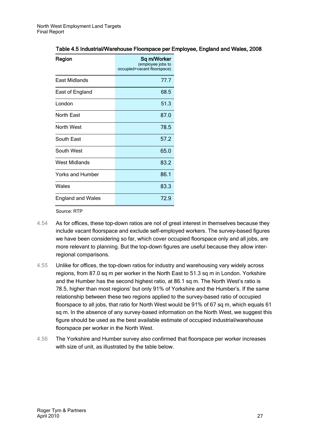#### Table 4.5 Industrial/Warehouse Floorspace per Employee, England and Wales, 2008

| Region                   | Sq m/Worker<br>(employee jobs to<br>occupied+vacant floorspace) |
|--------------------------|-----------------------------------------------------------------|
| <b>East Midlands</b>     | 77.7                                                            |
| East of England          | 68.5                                                            |
| London                   | 51.3                                                            |
| <b>North East</b>        | 87.0                                                            |
| North West               | 78.5                                                            |
| South East               | 57.2                                                            |
| South West               | 65.0                                                            |
| West Midlands            | 83.2                                                            |
| Yorks and Humber         | 86.1                                                            |
| Wales                    | 83.3                                                            |
| <b>England and Wales</b> | 72.9                                                            |

Source: RTP

- 4.54 As for offices, these top-down ratios are not of great interest in themselves because they include vacant floorspace and exclude self-employed workers. The survey-based figures we have been considering so far, which cover occupied floorspace only and all jobs, are more relevant to planning. But the top-down figures are useful because they allow interregional comparisons.
- 4.55 Unlike for offices, the top-down ratios for industry and warehousing vary widely across regions, from 87.0 sq m per worker in the North East to 51.3 sq m in London. Yorkshire and the Humber has the second highest ratio, at 86.1 sq m. The North West's ratio is 78.5, higher than most regions' but only 91% of Yorkshire and the Humber's. If the same relationship between these two regions applied to the survey-based ratio of occupied floorspace to all jobs, that ratio for North West would be 91% of 67 sq m, which equals 61 sq m. In the absence of any survey-based information on the North West, we suggest this figure should be used as the best available estimate of occupied industrial/warehouse floorspace per worker in the North West.
- 4.56 The Yorkshire and Humber survey also confirmed that floorspace per worker increases with size of unit, as illustrated by the table below.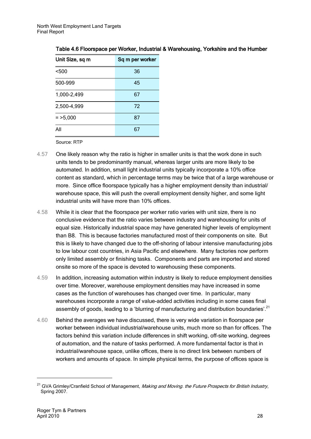| Unit Size, sq m | Sq m per worker |
|-----------------|-----------------|
| < 500           | 36              |
| 500-999         | 45              |
| 1,000-2,499     | 67              |
| 2,500-4,999     | 72              |
| $=$ >5,000      | 87              |
| All             | 67              |

Table 4.6 Floorspace per Worker, Industrial & Warehousing, Yorkshire and the Humber

Source: RTP

- 4.57 One likely reason why the ratio is higher in smaller units is that the work done in such units tends to be predominantly manual, whereas larger units are more likely to be automated. In addition, small light industrial units typically incorporate a 10% office content as standard, which in percentage terms may be twice that of a large warehouse or more. Since office floorspace typically has a higher employment density than industrial/ warehouse space, this will push the overall employment density higher, and some light industrial units will have more than 10% offices.
- 4.58 While it is clear that the floorspace per worker ratio varies with unit size, there is no conclusive evidence that the ratio varies between industry and warehousing for units of equal size. Historically industrial space may have generated higher levels of employment than B8. This is because factories manufactured most of their components on site. But this is likely to have changed due to the off-shoring of labour intensive manufacturing jobs to low labour cost countries, in Asia Pacific and elsewhere. Many factories now perform only limited assembly or finishing tasks. Components and parts are imported and stored onsite so more of the space is devoted to warehousing these components.
- 4.59 In addition, increasing automation within industry is likely to reduce employment densities over time. Moreover, warehouse employment densities may have increased in some cases as the function of warehouses has changed over time. In particular, many warehouses incorporate a range of value-added activities including in some cases final assembly of goods, leading to a 'blurring of manufacturing and distribution boundaries'.<sup>21</sup>
- 4.60 Behind the averages we have discussed, there is very wide variation in floorspace per worker between individual industrial/warehouse units, much more so than for offices. The factors behind this variation include differences in shift working, off-site working, degrees of automation, and the nature of tasks performed. A more fundamental factor is that in industrial/warehouse space, unlike offices, there is no direct link between numbers of workers and amounts of space. In simple physical terms, the purpose of offices space is

<sup>&</sup>lt;sup>21</sup> GVA Grimley/Cranfield School of Management, Making and Moving. the Future Prospects for British Industry, Spring 2007.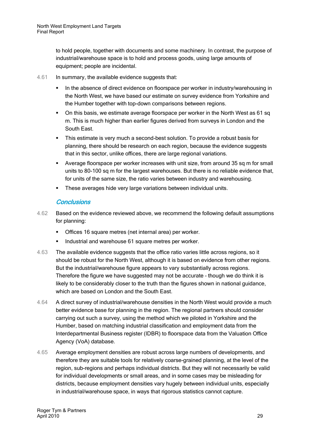to hold people, together with documents and some machinery. In contrast, the purpose of industrial/warehouse space is to hold and process goods, using large amounts of equipment; people are incidental.

- 4.61 In summary, the available evidence suggests that:
	- In the absence of direct evidence on floorspace per worker in industry/warehousing in the North West, we have based our estimate on survey evidence from Yorkshire and the Humber together with top-down comparisons between regions.
	- On this basis, we estimate average floorspace per worker in the North West as 61 sq m. This is much higher than earlier figures derived from surveys in London and the South East.
	- This estimate is very much a second-best solution. To provide a robust basis for planning, there should be research on each region, because the evidence suggests that in this sector, unlike offices, there are large regional variations.
	- Average floorspace per worker increases with unit size, from around 35 sq m for small units to 80-100 sq m for the largest warehouses. But there is no reliable evidence that, for units of the same size, the ratio varies between industry and warehousing.
	- **These averages hide very large variations between individual units.**

#### **Conclusions**

- 4.62 Based on the evidence reviewed above, we recommend the following default assumptions for planning:
	- Offices 16 square metres (net internal area) per worker.
	- Industrial and warehouse 61 square metres per worker.
- 4.63 The available evidence suggests that the office ratio varies little across regions, so it should be robust for the North West, although it is based on evidence from other regions. But the industrial/warehouse figure appears to vary substantially across regions. Therefore the figure we have suggested may not be accurate – though we do think it is likely to be considerably closer to the truth than the figures shown in national guidance, which are based on London and the South East.
- 4.64 A direct survey of industrial/warehouse densities in the North West would provide a much better evidence base for planning in the region. The regional partners should consider carrying out such a survey, using the method which we piloted in Yorkshire and the Humber, based on matching industrial classification and employment data from the Interdepartmental Business register (IDBR) to floorspace data from the Valuation Office Agency (VoA) database.
- 4.65 Average employment densities are robust across large numbers of developments, and therefore they are suitable tools for relatively coarse-grained planning, at the level of the region, sub-regions and perhaps individual districts. But they will not necessarily be valid for individual developments or small areas, and in some cases may be misleading for districts, because employment densities vary hugely between individual units, especially in industrial/warehouse space, in ways that rigorous statistics cannot capture.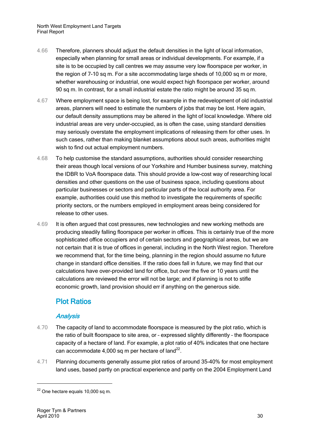- 4.66 Therefore, planners should adjust the default densities in the light of local information, especially when planning for small areas or individual developments. For example, if a site is to be occupied by call centres we may assume very low floorspace per worker, in the region of 7-10 sq m. For a site accommodating large sheds of 10,000 sq m or more, whether warehousing or industrial, one would expect high floorspace per worker, around 90 sq m. In contrast, for a small industrial estate the ratio might be around 35 sq m.
- 4.67 Where employment space is being lost, for example in the redevelopment of old industrial areas, planners will need to estimate the numbers of jobs that may be lost. Here again, our default density assumptions may be altered in the light of local knowledge. Where old industrial areas are very under-occupied, as is often the case, using standard densities may seriously overstate the employment implications of releasing them for other uses. In such cases, rather than making blanket assumptions about such areas, authorities might wish to find out actual employment numbers.
- 4.68 To help customise the standard assumptions, authorities should consider researching their areas though local versions of our Yorkshire and Humber business survey, matching the IDBR to VoA floorspace data. This should provide a low-cost way of researching local densities and other questions on the use of business space, including questions about particular businesses or sectors and particular parts of the local authority area. For example, authorities could use this method to investigate the requirements of specific priority sectors, or the numbers employed in employment areas being considered for release to other uses.
- 4.69 It is often argued that cost pressures, new technologies and new working methods are producing steadily falling floorspace per worker in offices. This is certainly true of the more sophisticated office occupiers and of certain sectors and geographical areas, but we are not certain that it is true of offices in general, including in the North West region. Therefore we recommend that, for the time being, planning in the region should assume no future change in standard office densities. If the ratio does fall in future, we may find that our calculations have over-provided land for office, but over the five or 10 years until the calculations are reviewed the error will not be large; and if planning is not to stifle economic growth, land provision should err if anything on the generous side.

### <span id="page-33-0"></span>Plot Ratios

### **Analysis**

- 4.70 The capacity of land to accommodate floorspace is measured by the plot ratio, which is the ratio of built floorspace to site area, or – expressed slightly differently – the floorspace capacity of a hectare of land. For example, a plot ratio of 40% indicates that one hectare can accommodate 4,000 sq m per hectare of land $^{22}$ .
- 4.71 Planning documents generally assume plot ratios of around 35-40% for most employment land uses, based partly on practical experience and partly on the 2004 Employment Land

 $22$  One hectare equals 10,000 sq m.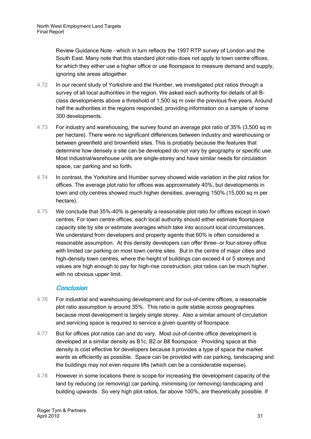Review Guidance Note – which in turn reflects the 1997 RTP survey of London and the South East. Many note that this standard plot ratio does not apply to town centre offices, for which they either use a higher office or use floorspace to measure demand and supply, ignoring site areas altogether.

- 4.72 In our recent study of Yorkshire and the Humber, we investigated plot ratios through a survey of all local authorities in the region. We asked each authority for details of all Bclass developments above a threshold of 1,500 sq m over the previous five years. Around half the authorities in the regions responded, providing information on a sample of some 300 developments.
- 4.73 For industry and warehousing, the survey found an average plot ratio of 35% (3,500 sq m per hectare). There were no significant differences between industry and warehousing or between greenfield and brownfield sites. This is probably because the features that determine how densely a site can be developed do not vary by geography or specific use. Most industrial/warehouse units are single-storey and have similar needs for circulation space, car parking and so forth.
- 4.74 In contrast, the Yorkshire and Humber survey showed wide variation in the plot ratios for offices. The average plot ratio for offices was approximately 40%, but developments in town and city centres showed much higher densities, averaging 150% (15,000 sq m per hectare).
- 4.75 We conclude that 35%-40% is generally a reasonable plot ratio for offices except in town centres. For town centre offices, each local authority should either estimate floorspace capacity site by site or estimate averages which take into account local circumstances. We understand from developers and property agents that 60% is often considered a reasonable assumption. At this density developers can offer three- or four-storey office with limited car parking on most town centre sites. But in the centre of major cities and high-density town centres, where the height of buildings can exceed 4 or 5 storeys and values are high enough to pay for high-rise construction, plot ratios can be much higher, with no obvious upper limit.

#### **Conclusion**

- 4.76 For industrial and warehousing development and for out-of-centre offices, a reasonable plot ratio assumption is around 35%. This ratio is quite stable across geographies because most development is largely single storey. Also a similar amount of circulation and servicing space is required to service a given quantity of floorspace.
- 4.77 But for offices plot ratios can and do vary. Most out-of-centre office development is developed at a similar density as B1c, B2 or B8 floorspace. Providing space at this density is cost effective for developers because it provides a type of space the market wants as efficiently as possible. Space can be provided with car parking, landscaping and the buildings may not even require lifts (which can be a considerable expense).
- 4.78 However in some locations there is scope for increasing the development capacity of the land by reducing (or removing) car parking, minimising (or removing) landscaping and building upwards. So very high plot ratios, far above 100%, are theoretically possible. If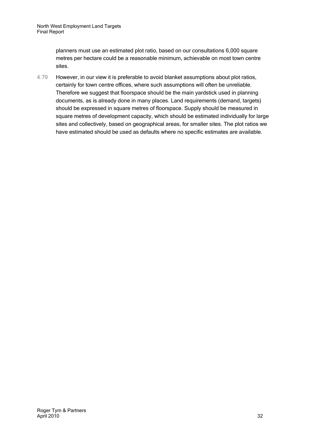planners must use an estimated plot ratio, based on our consultations 6,000 square metres per hectare could be a reasonable minimum, achievable on most town centre sites.

4.79 However, in our view it is preferable to avoid blanket assumptions about plot ratios, certainly for town centre offices, where such assumptions will often be unreliable. Therefore we suggest that floorspace should be the main yardstick used in planning documents, as is already done in many places. Land requirements (demand, targets) should be expressed in square metres of floorspace. Supply should be measured in square metres of development capacity, which should be estimated individually for large sites and collectively, based on geographical areas, for smaller sites. The plot ratios we have estimated should be used as defaults where no specific estimates are available.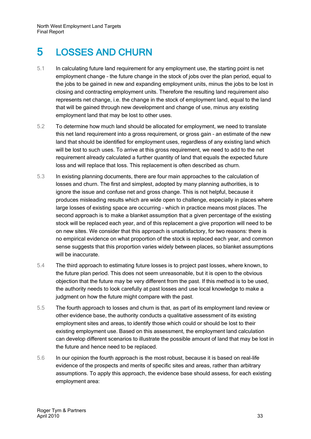## <span id="page-36-0"></span>5 LOSSES AND CHURN

- 5.1 In calculating future land requirement for any employment use, the starting point is net employment change – the future change in the stock of jobs over the plan period, equal to the jobs to be gained in new and expanding employment units, minus the jobs to be lost in closing and contracting employment units. Therefore the resulting land requirement also represents net change, i.e. the change in the stock of employment land, equal to the land that will be gained through new development and change of use, minus any existing employment land that may be lost to other uses.
- 5.2 To determine how much land should be allocated for employment, we need to translate this net land requirement into a gross requirement, or gross gain – an estimate of the new land that should be identified for employment uses, regardless of any existing land which will be lost to such uses. To arrive at this gross requirement, we need to add to the net requirement already calculated a further quantity of land that equals the expected future loss and will replace that loss. This replacement is often described as churn.
- 5.3 In existing planning documents, there are four main approaches to the calculation of losses and churn. The first and simplest, adopted by many planning authorities, is to ignore the issue and confuse net and gross change. This is not helpful, because it produces misleading results which are wide open to challenge, especially in places where large losses of existing space are occurring – which in practice means most places. The second approach is to make a blanket assumption that a given percentage of the existing stock will be replaced each year, and of this replacement a give proportion will need to be on new sites. We consider that this approach is unsatisfactory, for two reasons: there is no empirical evidence on what proportion of the stock is replaced each year, and common sense suggests that this proportion varies widely between places, so blanket assumptions will be inaccurate.
- 5.4 The third approach to estimating future losses is to project past losses, where known, to the future plan period. This does not seem unreasonable, but it is open to the obvious objection that the future may be very different from the past. If this method is to be used, the authority needs to look carefully at past losses and use local knowledge to make a judgment on how the future might compare with the past.
- 5.5 The fourth approach to losses and churn is that, as part of its employment land review or other evidence base, the authority conducts a qualitative assessment of its existing employment sites and areas, to identify those which could or should be lost to their existing employment use. Based on this assessment, the employment land calculation can develop different scenarios to illustrate the possible amount of land that may be lost in the future and hence need to be replaced.
- 5.6 In our opinion the fourth approach is the most robust, because it is based on real-life evidence of the prospects and merits of specific sites and areas, rather than arbitrary assumptions. To apply this approach, the evidence base should assess, for each existing employment area: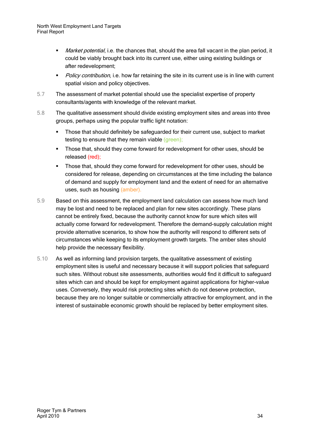North West Employment Land Targets Final Report

- Market potential, i.e. the chances that, should the area fall vacant in the plan period, it could be viably brought back into its current use, either using existing buildings or after redevelopment;
- Policy contribution, i.e. how far retaining the site in its current use is in line with current spatial vision and policy objectives.
- 5.7 The assessment of market potential should use the specialist expertise of property consultants/agents with knowledge of the relevant market.
- 5.8 The qualitative assessment should divide existing employment sites and areas into three groups, perhaps using the popular traffic light notation:
	- Those that should definitely be safeguarded for their current use, subject to market testing to ensure that they remain viable (green);
	- Those that, should they come forward for redevelopment for other uses, should be released (red);
	- Those that, should they come forward for redevelopment for other uses, should be considered for release, depending on circumstances at the time including the balance of demand and supply for employment land and the extent of need for an alternative uses, such as housing (amber).
- 5.9 Based on this assessment, the employment land calculation can assess how much land may be lost and need to be replaced and plan for new sites accordingly. These plans cannot be entirely fixed, because the authority cannot know for sure which sites will actually come forward for redevelopment. Therefore the demand-supply calculation might provide alternative scenarios, to show how the authority will respond to different sets of circumstances while keeping to its employment growth targets. The amber sites should help provide the necessary flexibility.
- 5.10 As well as informing land provision targets, the qualitative assessment of existing employment sites is useful and necessary because it will support policies that safeguard such sites. Without robust site assessments, authorities would find it difficult to safeguard sites which can and should be kept for employment against applications for higher-value uses. Conversely, they would risk protecting sites which do not deserve protection, because they are no longer suitable or commercially attractive for employment, and in the interest of sustainable economic growth should be replaced by better employment sites.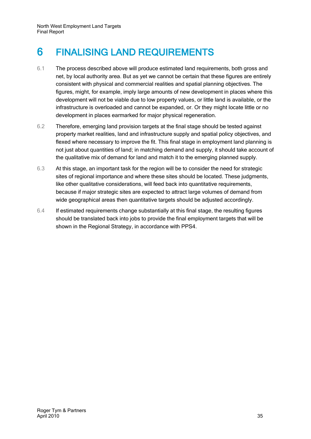## <span id="page-38-0"></span>6 FINALISING LAND REQUIREMENTS

- 6.1 The process described above will produce estimated land requirements, both gross and net, by local authority area. But as yet we cannot be certain that these figures are entirely consistent with physical and commercial realities and spatial planning objectives. The figures, might, for example, imply large amounts of new development in places where this development will not be viable due to low property values, or little land is available, or the infrastructure is overloaded and cannot be expanded, or. Or they might locate little or no development in places earmarked for major physical regeneration.
- 6.2 Therefore, emerging land provision targets at the final stage should be tested against property market realities, land and infrastructure supply and spatial policy objectives, and flexed where necessary to improve the fit. This final stage in employment land planning is not just about quantities of land; in matching demand and supply, it should take account of the qualitative mix of demand for land and match it to the emerging planned supply.
- 6.3 At this stage, an important task for the region will be to consider the need for strategic sites of regional importance and where these sites should be located. These judgments, like other qualitative considerations, will feed back into quantitative requirements, because if major strategic sites are expected to attract large volumes of demand from wide geographical areas then quantitative targets should be adjusted accordingly.
- 6.4 If estimated requirements change substantially at this final stage, the resulting figures should be translated back into jobs to provide the final employment targets that will be shown in the Regional Strategy, in accordance with PPS4.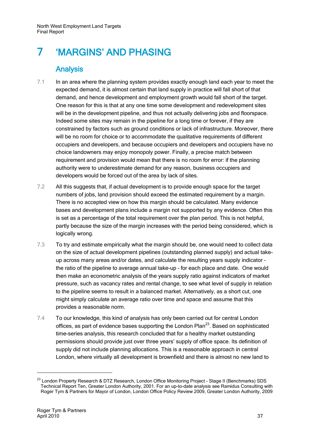## <span id="page-40-0"></span>7 'MARGINS' AND PHASING

### **Analysis**

- <span id="page-40-1"></span>7.1 In an area where the planning system provides exactly enough land each year to meet the expected demand, it is almost certain that land supply in practice will fall short of that demand, and hence development and employment growth would fall short of the target. One reason for this is that at any one time some development and redevelopment sites will be in the development pipeline, and thus not actually delivering jobs and floorspace. Indeed some sites may remain in the pipeline for a long time or forever, if they are constrained by factors such as ground conditions or lack of infrastructure. Moreover, there will be no room for choice or to accommodate the qualitative requirements of different occupiers and developers, and because occupiers and developers and occupiers have no choice landowners may enjoy monopoly power. Finally, a precise match between requirement and provision would mean that there is no room for error: if the planning authority were to underestimate demand for any reason, business occupiers and developers would be forced out of the area by lack of sites.
- 7.2 All this suggests that, if actual development is to provide enough space for the target numbers of jobs, land provision should exceed the estimated requirement by a margin. There is no accepted view on how this margin should be calculated. Many evidence bases and development plans include a margin not supported by any evidence. Often this is set as a percentage of the total requirement over the plan period. This is not helpful, partly because the size of the margin increases with the period being considered, which is logically wrong.
- 7.3 To try and estimate empirically what the margin should be, one would need to collect data on the size of actual development pipelines (outstanding planned supply) and actual takeup across many areas and/or dates, and calculate the resulting years supply indicator – the ratio of the pipeline to average annual take-up – for each place and date. One would then make an econometric analysis of the years supply ratio against indicators of market pressure, such as vacancy rates and rental change, to see what level of supply in relation to the pipeline seems to result in a balanced market. Alternatively, as a short cut, one might simply calculate an average ratio over time and space and assume that this provides a reasonable norm.
- 7.4 To our knowledge, this kind of analysis has only been carried out for central London offices, as part of evidence bases supporting the London Plan $^{23}$ . Based on sophisticated time-series analysis, this research concluded that for a healthy market outstanding permissions should provide just over three years' supply of office space. Its definition of supply did not include planning allocations. This is a reasonable approach in central London, where virtually all development is brownfield and there is almost no new land to

<sup>&</sup>lt;sup>23</sup> London Property Research & DTZ Research, London Office Monitoring Project - Stage II (Benchmarks) SDS Technical Report Ten, Greater London Authority, 2001. For an up-to-date analysis see Ramidus Consulting with Roger Tym & Partners for Mayor of London, London Office Policy Review 2009, Greater London Authority, 2009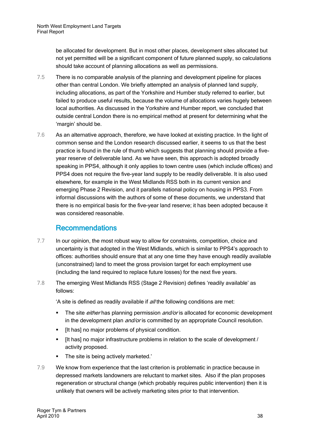be allocated for development. But in most other places, development sites allocated but not yet permitted will be a significant component of future planned supply, so calculations should take account of planning allocations as well as permissions.

- 7.5 There is no comparable analysis of the planning and development pipeline for places other than central London. We briefly attempted an analysis of planned land supply, including allocations, as part of the Yorkshire and Humber study referred to earlier, but failed to produce useful results, because the volume of allocations varies hugely between local authorities. As discussed in the Yorkshire and Humber report, we concluded that outside central London there is no empirical method at present for determining what the 'margin' should be.
- 7.6 As an alternative approach, therefore, we have looked at existing practice. In the light of common sense and the London research discussed earlier, it seems to us that the best practice is found in the rule of thumb which suggests that planning should provide a fiveyear reserve of deliverable land. As we have seen, this approach is adopted broadly speaking in PPS4, although it only applies to town centre uses (which include offices) and PPS4 does not require the five-year land supply to be readily deliverable. It is also used elsewhere, for example in the West Midlands RSS both in its current version and emerging Phase 2 Revision, and it parallels national policy on housing in PPS3. From informal discussions with the authors of some of these documents, we understand that there is no empirical basis for the five-year land reserve; it has been adopted because it was considered reasonable.

### Recommendations

- <span id="page-41-0"></span>7.7 In our opinion, the most robust way to allow for constraints, competition, choice and uncertainty is that adopted in the West Midlands, which is similar to PPS4's approach to offices: authorities should ensure that at any one time they have enough readily available (unconstrained) land to meet the gross provision target for each employment use (including the land required to replace future losses) for the next five years.
- 7.8 The emerging West Midlands RSS (Stage 2 Revision) defines 'readily available' as follows:

'A site is defined as readily available if all the following conditions are met:

- The site *either* has planning permission *and/or* is allocated for economic development in the development plan *and/or* is committed by an appropriate Council resolution.
- **If has no major problems of physical condition.**
- [It has] no major infrastructure problems in relation to the scale of development / activity proposed.
- The site is being actively marketed.'
- 7.9 We know from experience that the last criterion is problematic in practice because in depressed markets landowners are reluctant to market sites. Also if the plan proposes regeneration or structural change (which probably requires public intervention) then it is unlikely that owners will be actively marketing sites prior to that intervention.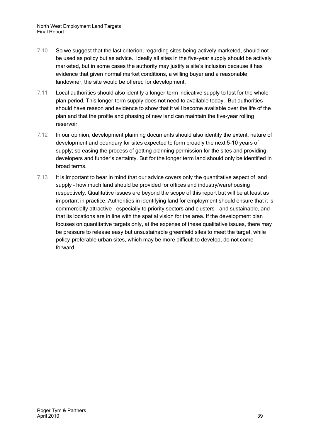- 7.10 So we suggest that the last criterion, regarding sites being actively marketed, should not be used as policy but as advice. Ideally all sites in the five-year supply should be actively marketed, but in some cases the authority may justify a site's inclusion because it has evidence that given normal market conditions, a willing buyer and a reasonable landowner, the site would be offered for development.
- 7.11 Local authorities should also identify a longer-term indicative supply to last for the whole plan period. This longer-term supply does not need to available today. But authorities should have reason and evidence to show that it will become available over the life of the plan and that the profile and phasing of new land can maintain the five-year rolling reservoir.
- 7.12 In our opinion, development planning documents should also identify the extent, nature of development and boundary for sites expected to form broadly the next 5-10 years of supply; so easing the process of getting planning permission for the sites and providing developers and funder's certainty. But for the longer term land should only be identified in broad terms.
- 7.13 It is important to bear in mind that our advice covers only the quantitative aspect of land supply – how much land should be provided for offices and industry/warehousing respectively. Qualitative issues are beyond the scope of this report but will be at least as important in practice. Authorities in identifying land for employment should ensure that it is commercially attractive – especially to priority sectors and clusters - and sustainable, and that its locations are in line with the spatial vision for the area. If the development plan focuses on quantitative targets only, at the expense of these qualitative issues, there may be pressure to release easy but unsustainable greenfield sites to meet the target, while policy-preferable urban sites, which may be more difficult to develop, do not come forward.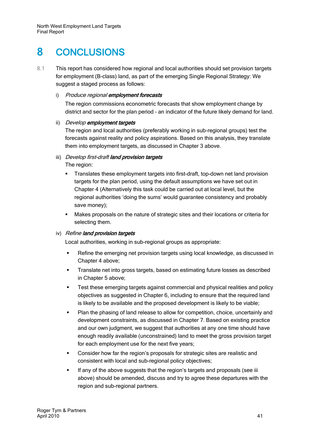## <span id="page-44-0"></span>8 CONCLUSIONS

8.1 This report has considered how regional and local authorities should set provision targets for employment (B-class) land, as part of the emerging Single Regional Strategy: We suggest a staged process as follows:

#### i) Produce regional employment forecasts

The region commissions econometric forecasts that show employment change by district and sector for the plan period – an indicator of the future likely demand for land.

#### ii) Develop employment targets

The region and local authorities (preferably working in sub-regional groups) test the forecasts against reality and policy aspirations. Based on this analysis, they translate them into employment targets, as discussed in Chapter 3 above.

## iii) Develop first-draft land provision targets

The region:

- **Translates these employment targets into first-draft, top-down net land provision** targets for the plan period, using the default assumptions we have set out in Chapter 4 (Alternatively this task could be carried out at local level, but the regional authorities 'doing the sums' would guarantee consistency and probably save money);
- Makes proposals on the nature of strategic sites and their locations or criteria for selecting them.

#### iv) Refine land provision targets

Local authorities, working in sub-regional groups as appropriate:

- **Refine the emerging net provision targets using local knowledge, as discussed in** Chapter 4 above;
- **Translate net into gross targets, based on estimating future losses as described** in Chapter 5 above;
- Test these emerging targets against commercial and physical realities and policy objectives as suggested in Chapter 6, including to ensure that the required land is likely to be available and the proposed development is likely to be viable;
- Plan the phasing of land release to allow for competition, choice, uncertainly and development constraints, as discussed in Chapter 7. Based on existing practice and our own judgment, we suggest that authorities at any one time should have enough readily available (unconstrained) land to meet the gross provision target for each employment use for the next five years;
- Consider how far the region's proposals for strategic sites are realistic and consistent with local and sub-regional policy objectives;
- If any of the above suggests that the region's targets and proposals (see iii above) should be amended, discuss and try to agree these departures with the region and sub-regional partners.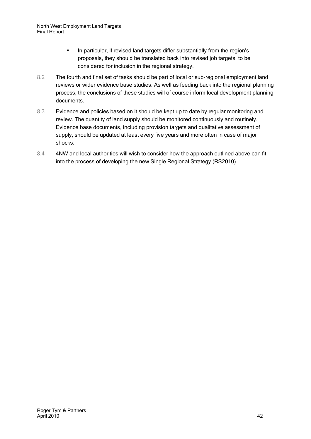- In particular, if revised land targets differ substantially from the region's proposals, they should be translated back into revised job targets, to be considered for inclusion in the regional strategy.
- 8.2 The fourth and final set of tasks should be part of local or sub-regional employment land reviews or wider evidence base studies. As well as feeding back into the regional planning process, the conclusions of these studies will of course inform local development planning documents.
- 8.3 Evidence and policies based on it should be kept up to date by regular monitoring and review. The quantity of land supply should be monitored continuously and routinely. Evidence base documents, including provision targets and qualitative assessment of supply, should be updated at least every five years and more often in case of major shocks.
- 8.4 4NW and local authorities will wish to consider how the approach outlined above can fit into the process of developing the new Single Regional Strategy (RS2010).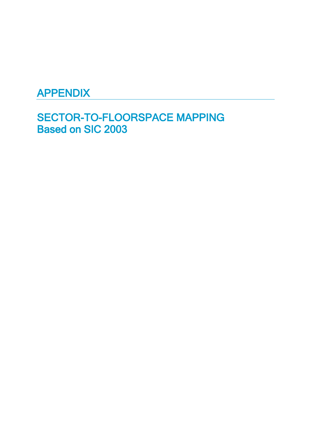## APPENDIX

SECTOR-TO-FLOORSPACE MAPPING Based on SIC 2003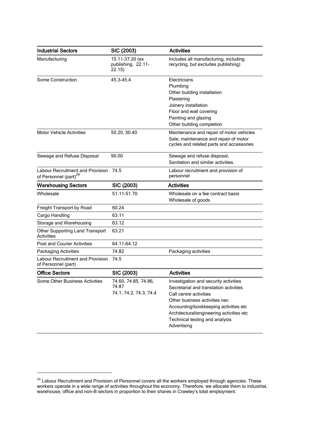| <b>Industrial Sectors</b>                                                    | SIC (2003)                                              | <b>Activities</b>                                                                                                                                                                                                                                                                |
|------------------------------------------------------------------------------|---------------------------------------------------------|----------------------------------------------------------------------------------------------------------------------------------------------------------------------------------------------------------------------------------------------------------------------------------|
| Manufacturing                                                                | 15.11-37.20 (ex<br>publishing, 22.11-<br>22.15)         | Includes all manufacturing, including<br>recycling, but excludes publishing)                                                                                                                                                                                                     |
| Some Construction                                                            | 45.3-45.4                                               | Electricians<br>Plumbing<br>Other building installation<br>Plastering<br>Joinery installation<br>Floor and wall covering<br>Painting and glazing<br>Other building completion                                                                                                    |
| <b>Motor Vehicle Activities</b>                                              | 50.20, 50.40                                            | Maintenance and repair of motor vehicles<br>Sale, maintenance and repair of motor<br>cycles and related parts and accessories                                                                                                                                                    |
| Sewage and Refuse Disposal                                                   | 90.00                                                   | Sewage and refuse disposal,<br>Sanitation and similar activities.                                                                                                                                                                                                                |
| <b>Labour Recruitment and Provision</b><br>of Personnel (part) <sup>24</sup> | 74.5                                                    | Labour recruitment and provision of<br>personnel                                                                                                                                                                                                                                 |
| <b>Warehousing Sectors</b>                                                   | SIC (2003)                                              | <b>Activities</b>                                                                                                                                                                                                                                                                |
| Wholesale                                                                    | 51.11-51.70                                             | Wholesale on a fee contract basis<br>Wholesale of goods                                                                                                                                                                                                                          |
| Freight Transport by Road                                                    | 60.24                                                   |                                                                                                                                                                                                                                                                                  |
| Cargo Handling                                                               | 63.11                                                   |                                                                                                                                                                                                                                                                                  |
| Storage and Warehousing                                                      | 63.12                                                   |                                                                                                                                                                                                                                                                                  |
| Other Supporting Land Transport<br>Activities                                | 63.21                                                   |                                                                                                                                                                                                                                                                                  |
| <b>Post and Courier Activities</b>                                           | 64.11-64.12                                             |                                                                                                                                                                                                                                                                                  |
| Packaging Activities                                                         | 74.82                                                   | Packaging activities                                                                                                                                                                                                                                                             |
| Labour Recruitment and Provision<br>of Personnel (part)                      | 74.5                                                    |                                                                                                                                                                                                                                                                                  |
| <b>Office Sectors</b>                                                        | SIC (2003)                                              | <b>Activities</b>                                                                                                                                                                                                                                                                |
| Some Other Business Activities                                               | 74.60, 74.85, 74.86,<br>74.87<br>74.1, 74.2, 74.3, 74.4 | Investigation and security activities<br>Secretarial and translation activities<br>Call centre activities<br>Other business activities nec<br>Accounting/bookkeeping activities etc<br>Architectural/engineering activities etc<br>Technical testing and analysis<br>Advertising |

 $^{24}$  Labour Recruitment and Provision of Personnel covers all the workers employed through agencies. These workers operate in a wide range of activities throughout the economy. Therefore, we allocate them to industrial, warehouse, office and non-B sectors in proportion to their shares in Crawley's total employment.